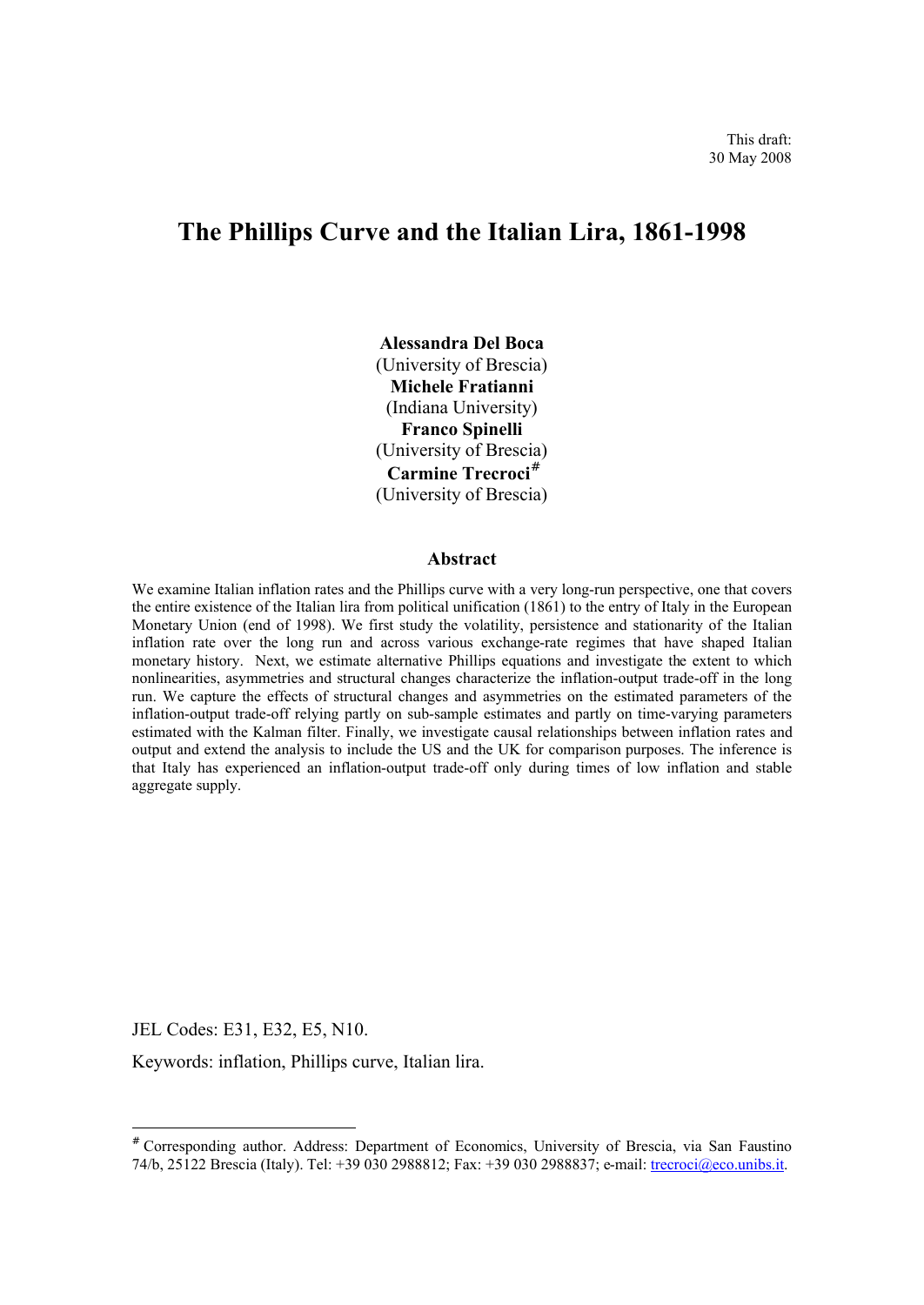# **The Phillips Curve and the Italian Lira, 1861-1998**

**Alessandra Del Boca** (University of Brescia) **Michele Fratianni** (Indiana University) **Franco Spinelli** (University of Brescia) **Carmine Trecroci#** (University of Brescia)

#### **Abstract**

We examine Italian inflation rates and the Phillips curve with a very long-run perspective, one that covers the entire existence of the Italian lira from political unification (1861) to the entry of Italy in the European Monetary Union (end of 1998). We first study the volatility, persistence and stationarity of the Italian inflation rate over the long run and across various exchange-rate regimes that have shaped Italian monetary history. Next, we estimate alternative Phillips equations and investigate the extent to which nonlinearities, asymmetries and structural changes characterize the inflation-output trade-off in the long run. We capture the effects of structural changes and asymmetries on the estimated parameters of the inflation-output trade-off relying partly on sub-sample estimates and partly on time-varying parameters estimated with the Kalman filter. Finally, we investigate causal relationships between inflation rates and output and extend the analysis to include the US and the UK for comparison purposes. The inference is that Italy has experienced an inflation-output trade-off only during times of low inflation and stable aggregate supply.

JEL Codes: E31, E32, E5, N10.

 $\overline{a}$ 

Keywords: inflation, Phillips curve, Italian lira.

<sup>#</sup> Corresponding author. Address: Department of Economics, University of Brescia, via San Faustino 74/b, 25122 Brescia (Italy). Tel: +39 030 2988812; Fax: +39 030 2988837; e-mail: trecroci@eco.unibs.it.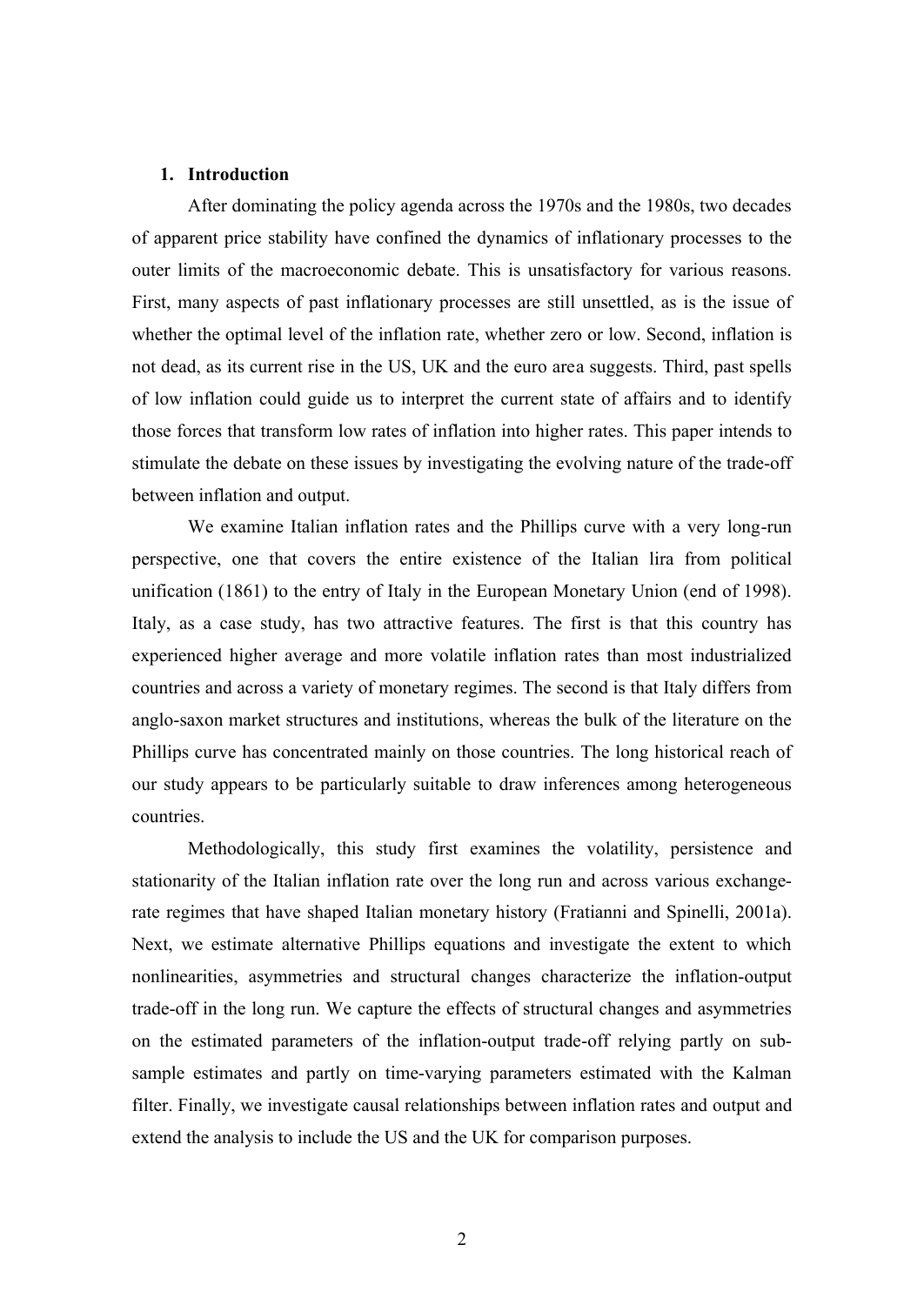#### **1. Introduction**

After dominating the policy agenda across the 1970s and the 1980s, two decades of apparent price stability have confined the dynamics of inflationary processes to the outer limits of the macroeconomic debate. This is unsatisfactory for various reasons. First, many aspects of past inflationary processes are still unsettled, as is the issue of whether the optimal level of the inflation rate, whether zero or low. Second, inflation is not dead, as its current rise in the US, UK and the euro area suggests. Third, past spells of low inflation could guide us to interpret the current state of affairs and to identify those forces that transform low rates of inflation into higher rates. This paper intends to stimulate the debate on these issues by investigating the evolving nature of the trade-off between inflation and output.

We examine Italian inflation rates and the Phillips curve with a very long-run perspective, one that covers the entire existence of the Italian lira from political unification (1861) to the entry of Italy in the European Monetary Union (end of 1998). Italy, as a case study, has two attractive features. The first is that this country has experienced higher average and more volatile inflation rates than most industrialized countries and across a variety of monetary regimes. The second is that Italy differs from anglo-saxon market structures and institutions, whereas the bulk of the literature on the Phillips curve has concentrated mainly on those countries. The long historical reach of our study appears to be particularly suitable to draw inferences among heterogeneous countries.

Methodologically, this study first examines the volatility, persistence and stationarity of the Italian inflation rate over the long run and across various exchangerate regimes that have shaped Italian monetary history (Fratianni and Spinelli, 2001a). Next, we estimate alternative Phillips equations and investigate the extent to which nonlinearities, asymmetries and structural changes characterize the inflation-output trade-off in the long run. We capture the effects of structural changes and asymmetries on the estimated parameters of the inflation-output trade-off relying partly on subsample estimates and partly on time-varying parameters estimated with the Kalman filter. Finally, we investigate causal relationships between inflation rates and output and extend the analysis to include the US and the UK for comparison purposes.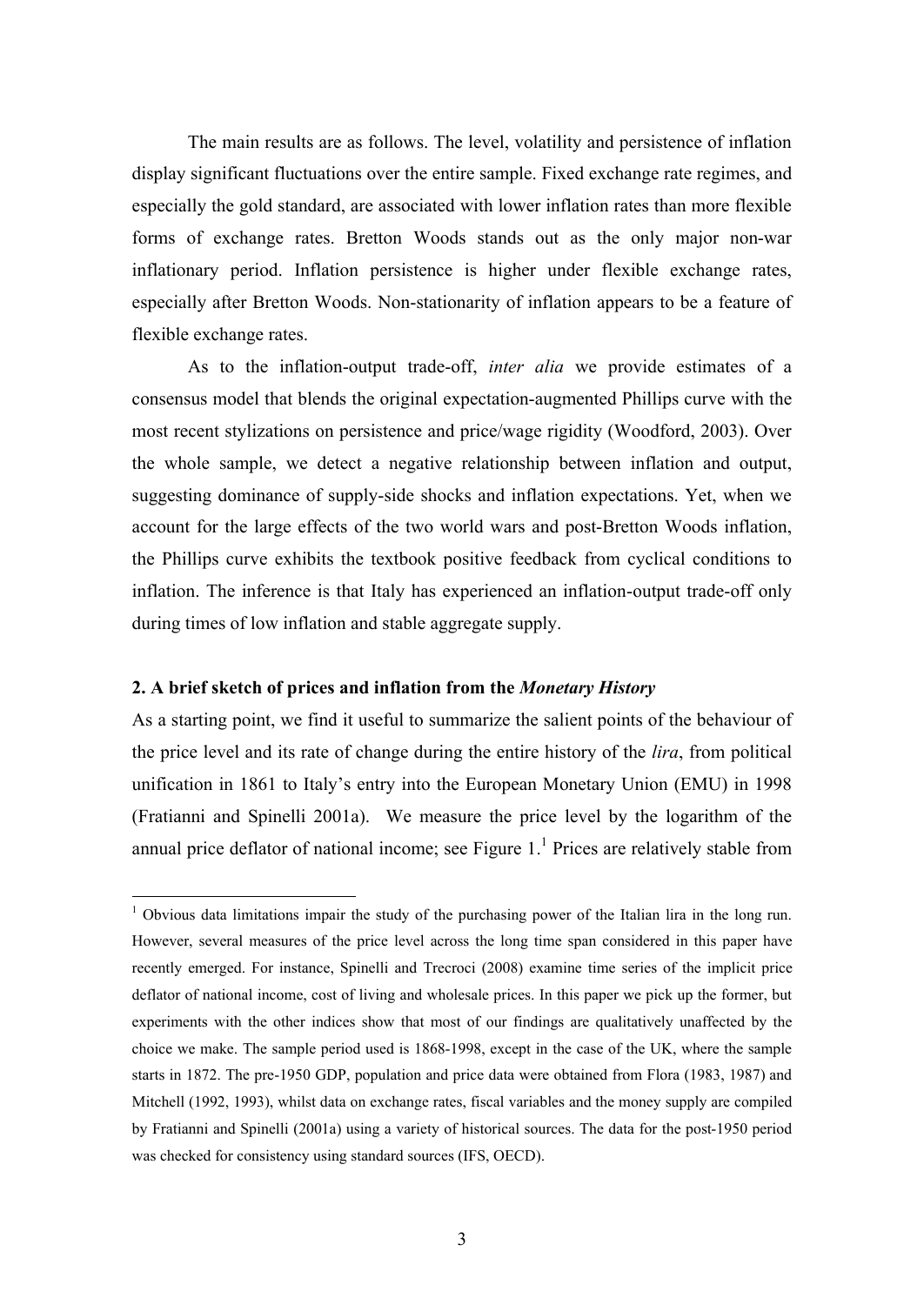The main results are as follows. The level, volatility and persistence of inflation display significant fluctuations over the entire sample. Fixed exchange rate regimes, and especially the gold standard, are associated with lower inflation rates than more flexible forms of exchange rates. Bretton Woods stands out as the only major non-war inflationary period. Inflation persistence is higher under flexible exchange rates, especially after Bretton Woods. Non-stationarity of inflation appears to be a feature of flexible exchange rates.

As to the inflation-output trade-off, *inter alia* we provide estimates of a consensus model that blends the original expectation-augmented Phillips curve with the most recent stylizations on persistence and price/wage rigidity (Woodford, 2003). Over the whole sample, we detect a negative relationship between inflation and output, suggesting dominance of supply-side shocks and inflation expectations. Yet, when we account for the large effects of the two world wars and post-Bretton Woods inflation, the Phillips curve exhibits the textbook positive feedback from cyclical conditions to inflation. The inference is that Italy has experienced an inflation-output trade-off only during times of low inflation and stable aggregate supply.

### **2. A brief sketch of prices and inflation from the** *Monetary History*

 $\overline{a}$ 

As a starting point, we find it useful to summarize the salient points of the behaviour of the price level and its rate of change during the entire history of the *lira*, from political unification in 1861 to Italy's entry into the European Monetary Union (EMU) in 1998 (Fratianni and Spinelli 2001a). We measure the price level by the logarithm of the annual price deflator of national income; see Figure  $1<sup>1</sup>$  Prices are relatively stable from

<sup>&</sup>lt;sup>1</sup> Obvious data limitations impair the study of the purchasing power of the Italian lira in the long run. However, several measures of the price level across the long time span considered in this paper have recently emerged. For instance, Spinelli and Trecroci (2008) examine time series of the implicit price deflator of national income, cost of living and wholesale prices. In this paper we pick up the former, but experiments with the other indices show that most of our findings are qualitatively unaffected by the choice we make. The sample period used is 1868-1998, except in the case of the UK, where the sample starts in 1872. The pre-1950 GDP, population and price data were obtained from Flora (1983, 1987) and Mitchell (1992, 1993), whilst data on exchange rates, fiscal variables and the money supply are compiled by Fratianni and Spinelli (2001a) using a variety of historical sources. The data for the post-1950 period was checked for consistency using standard sources (IFS, OECD).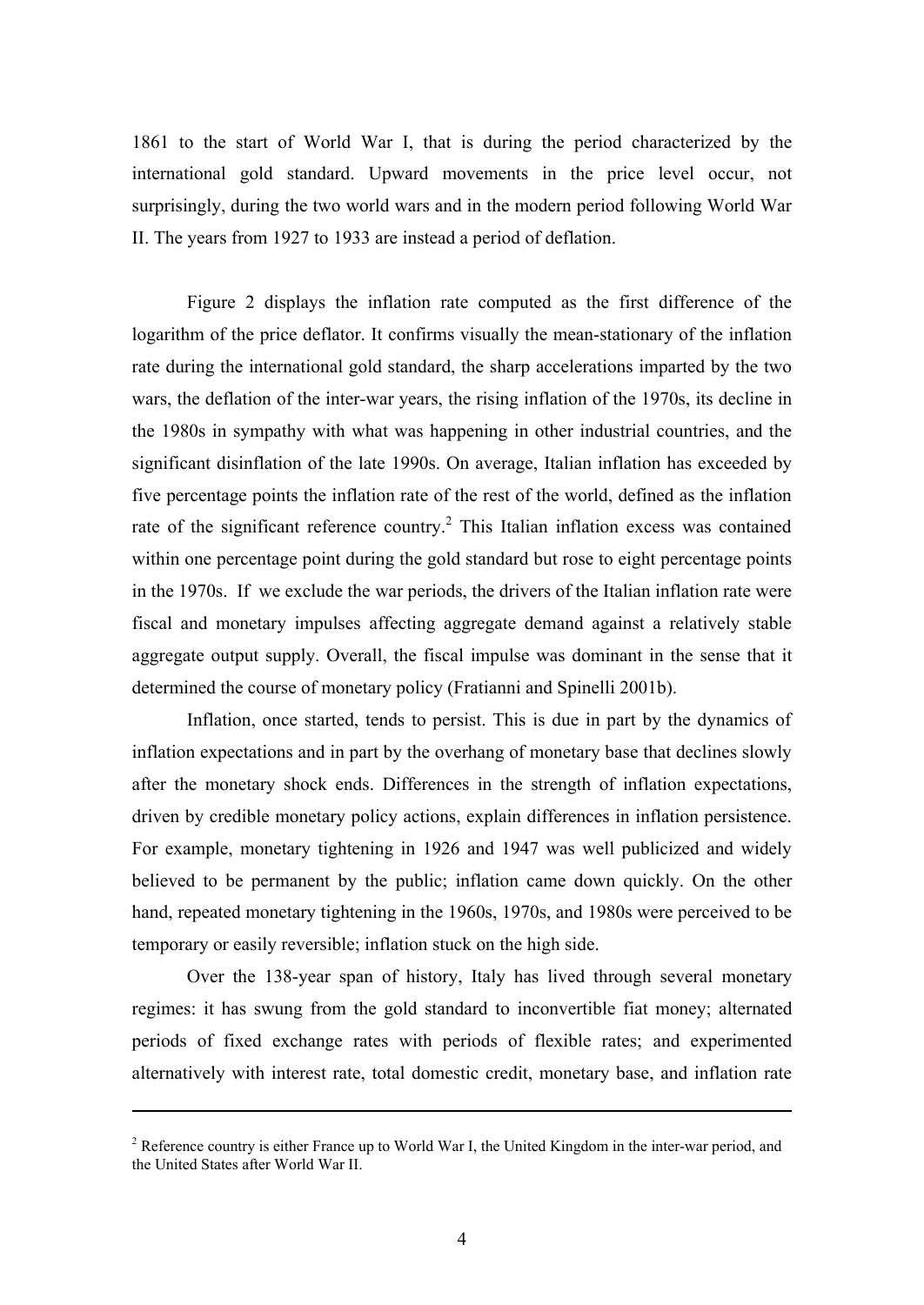1861 to the start of World War I, that is during the period characterized by the international gold standard. Upward movements in the price level occur, not surprisingly, during the two world wars and in the modern period following World War II. The years from 1927 to 1933 are instead a period of deflation.

Figure 2 displays the inflation rate computed as the first difference of the logarithm of the price deflator. It confirms visually the mean-stationary of the inflation rate during the international gold standard, the sharp accelerations imparted by the two wars, the deflation of the inter-war years, the rising inflation of the 1970s, its decline in the 1980s in sympathy with what was happening in other industrial countries, and the significant disinflation of the late 1990s. On average, Italian inflation has exceeded by five percentage points the inflation rate of the rest of the world, defined as the inflation rate of the significant reference country.<sup>2</sup> This Italian inflation excess was contained within one percentage point during the gold standard but rose to eight percentage points in the 1970s. If we exclude the war periods, the drivers of the Italian inflation rate were fiscal and monetary impulses affecting aggregate demand against a relatively stable aggregate output supply. Overall, the fiscal impulse was dominant in the sense that it determined the course of monetary policy (Fratianni and Spinelli 2001b).

Inflation, once started, tends to persist. This is due in part by the dynamics of inflation expectations and in part by the overhang of monetary base that declines slowly after the monetary shock ends. Differences in the strength of inflation expectations, driven by credible monetary policy actions, explain differences in inflation persistence. For example, monetary tightening in 1926 and 1947 was well publicized and widely believed to be permanent by the public; inflation came down quickly. On the other hand, repeated monetary tightening in the 1960s, 1970s, and 1980s were perceived to be temporary or easily reversible; inflation stuck on the high side.

Over the 138-year span of history, Italy has lived through several monetary regimes: it has swung from the gold standard to inconvertible fiat money; alternated periods of fixed exchange rates with periods of flexible rates; and experimented alternatively with interest rate, total domestic credit, monetary base, and inflation rate

1

 $2^2$  Reference country is either France up to World War I, the United Kingdom in the inter-war period, and the United States after World War II.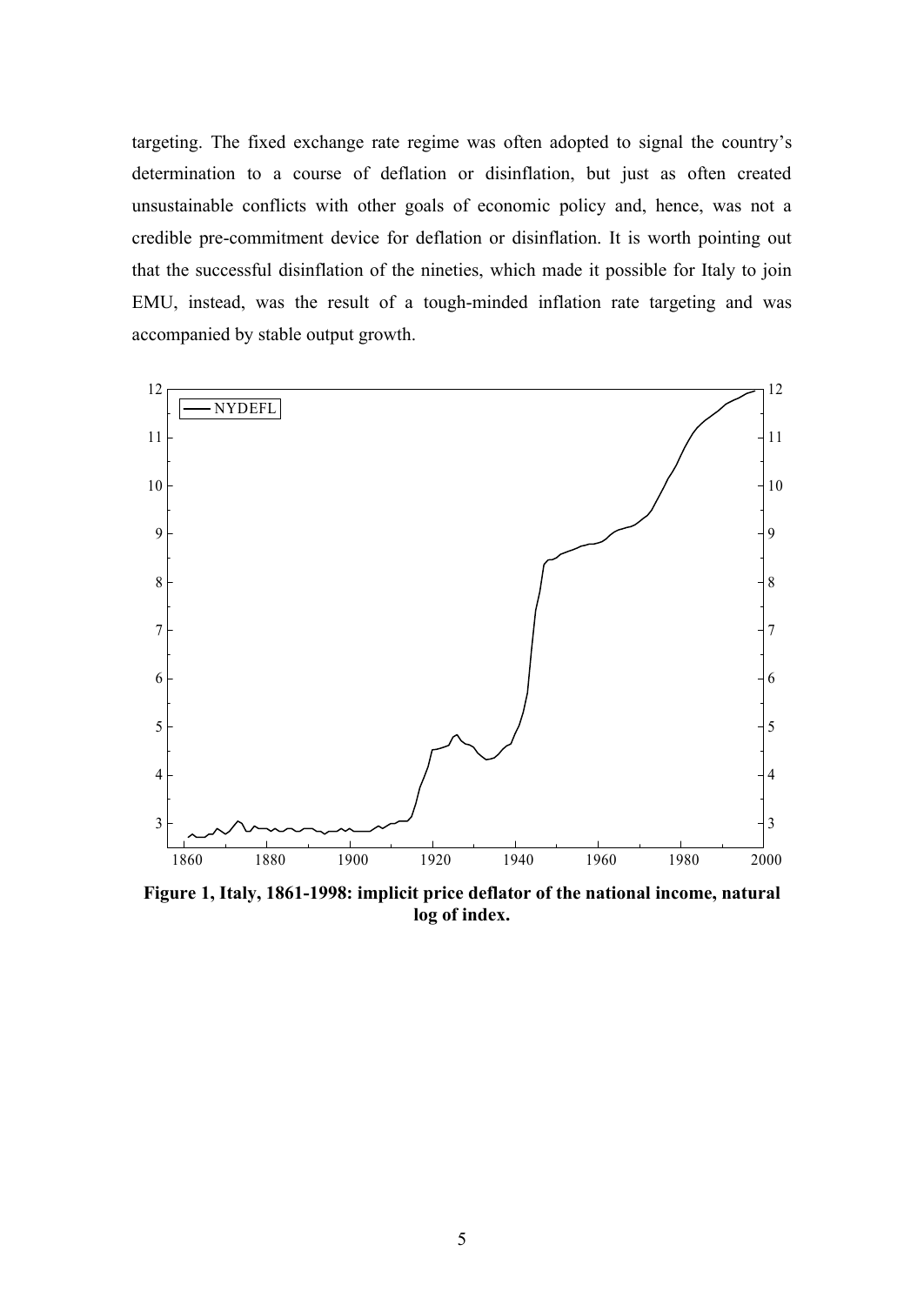targeting. The fixed exchange rate regime was often adopted to signal the country's determination to a course of deflation or disinflation, but just as often created unsustainable conflicts with other goals of economic policy and, hence, was not a credible pre-commitment device for deflation or disinflation. It is worth pointing out that the successful disinflation of the nineties, which made it possible for Italy to join EMU, instead, was the result of a tough-minded inflation rate targeting and was accompanied by stable output growth.



**Figure 1, Italy, 1861-1998: implicit price deflator of the national income, natural log of index.**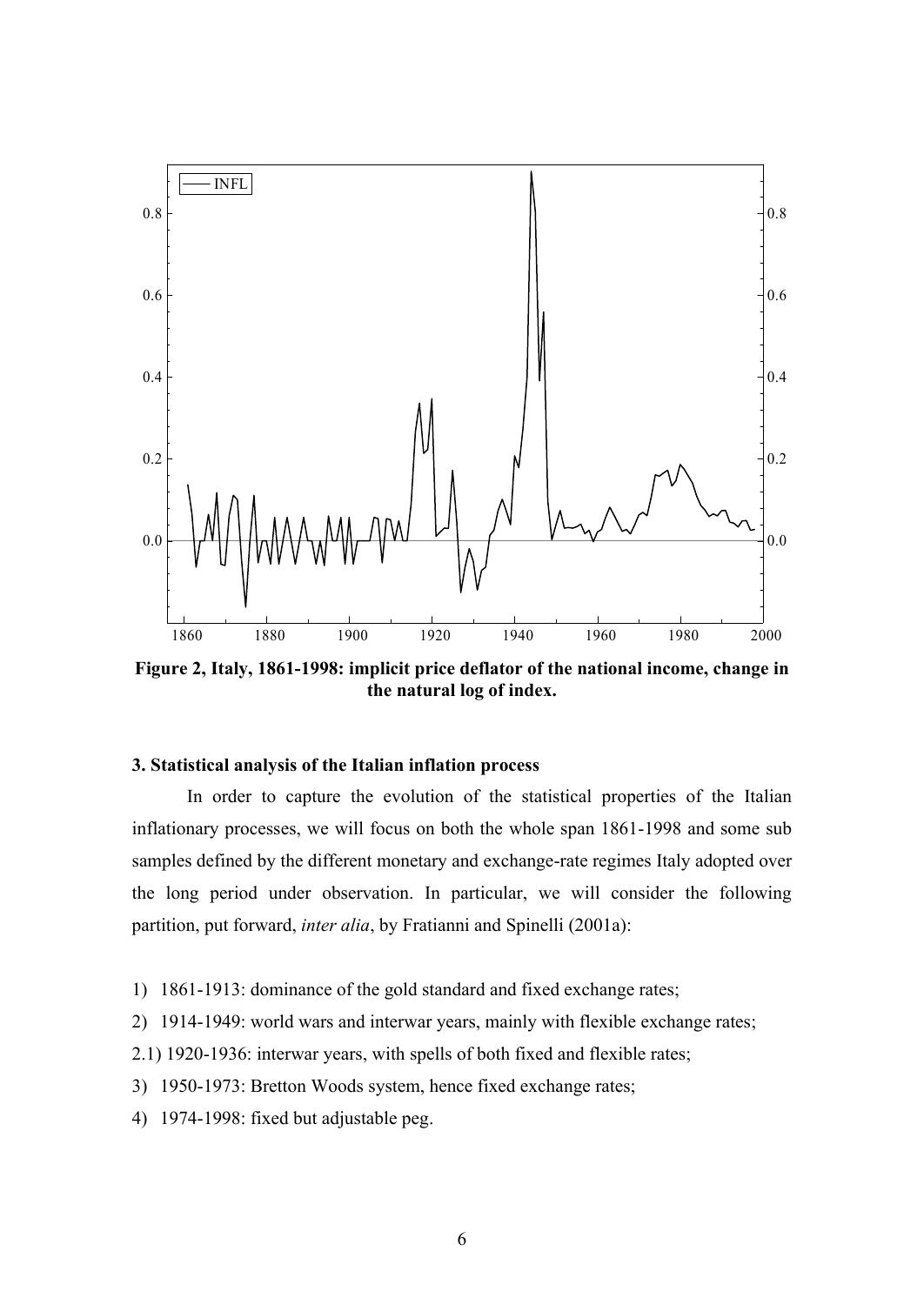

**Figure 2, Italy, 1861-1998: implicit price deflator of the national income, change in the natural log of index.**

# **3. Statistical analysis of the Italian inflation process**

In order to capture the evolution of the statistical properties of the Italian inflationary processes, we will focus on both the whole span 1861-1998 and some sub samples defined by the different monetary and exchange-rate regimes Italy adopted over the long period under observation. In particular, we will consider the following partition, put forward, *inter alia*, by Fratianni and Spinelli (2001a):

- 1) 1861-1913: dominance of the gold standard and fixed exchange rates;
- 2) 1914-1949: world wars and interwar years, mainly with flexible exchange rates;
- 2.1) 1920-1936: interwar years, with spells of both fixed and flexible rates;
- 3) 1950-1973: Bretton Woods system, hence fixed exchange rates;
- 4) 1974-1998: fixed but adjustable peg.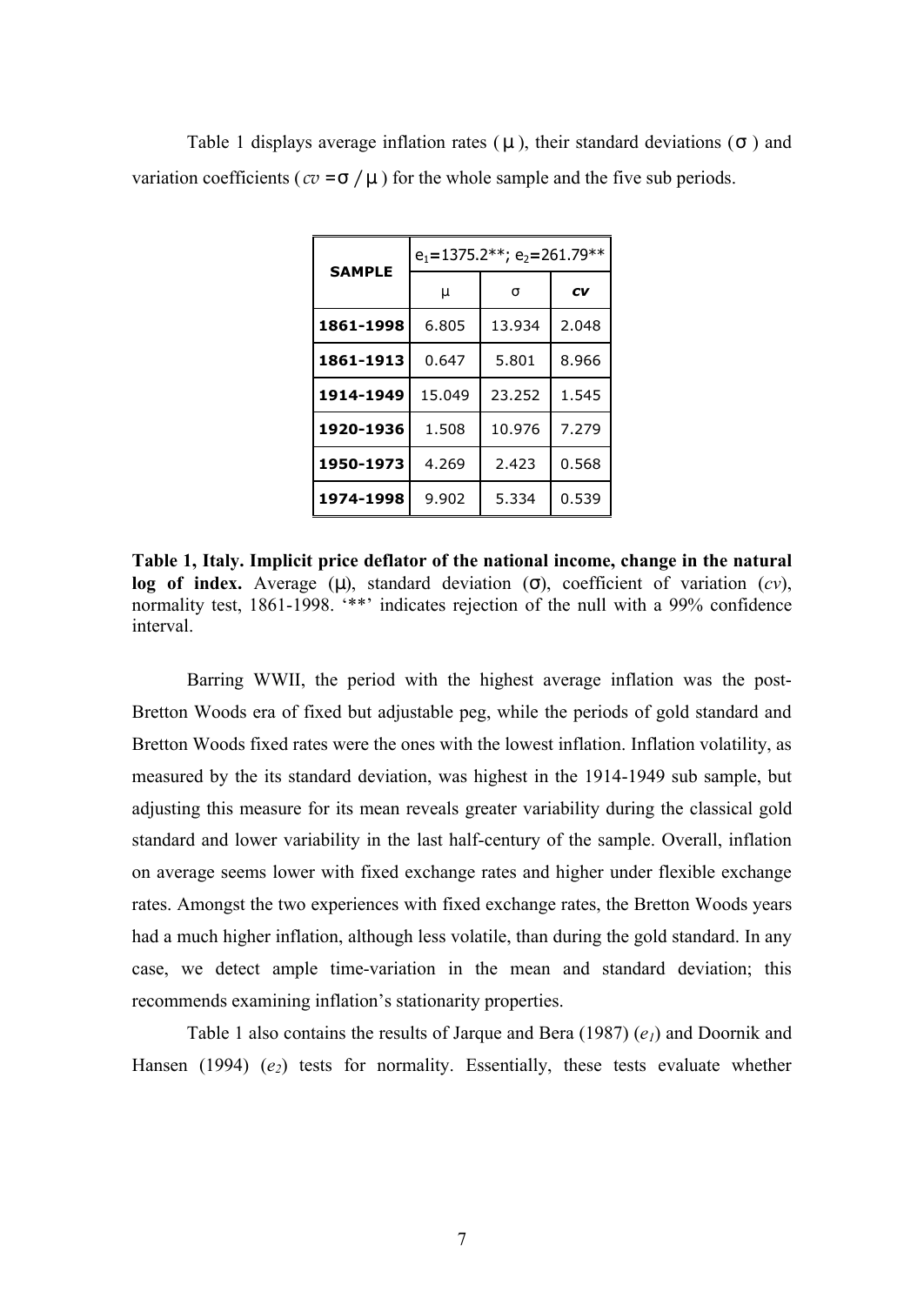| <b>SAMPLE</b> | $e_1$ =1375.2**; $e_2$ =261.79** |        |       |  |
|---------------|----------------------------------|--------|-------|--|
|               | m                                | S      | CV    |  |
| 1861-1998     | 6.805                            | 13.934 | 2.048 |  |
| 1861-1913     | 0.647                            | 5.801  | 8.966 |  |
| 1914-1949     | 15.049                           | 23.252 | 1.545 |  |
| 1920-1936     | 1.508                            | 10.976 | 7.279 |  |
| 1950-1973     | 4.269                            | 2.423  | 0.568 |  |
| 1974-1998     | 9.902                            | 5.334  | 0.539 |  |

Table 1 displays average inflation rates ( *m* ), their standard deviations (*s* ) and variation coefficients ( $cv = s / m$ ) for the whole sample and the five sub periods.

**Table 1, Italy. Implicit price deflator of the national income, change in the natural log of index.** Average (*m*), standard deviation (*s*), coefficient of variation (*cv*), normality test, 1861-1998. '\*\*' indicates rejection of the null with a 99% confidence interval.

Barring WWII, the period with the highest average inflation was the post-Bretton Woods era of fixed but adjustable peg, while the periods of gold standard and Bretton Woods fixed rates were the ones with the lowest inflation. Inflation volatility, as measured by the its standard deviation, was highest in the 1914-1949 sub sample, but adjusting this measure for its mean reveals greater variability during the classical gold standard and lower variability in the last half-century of the sample. Overall, inflation on average seems lower with fixed exchange rates and higher under flexible exchange rates. Amongst the two experiences with fixed exchange rates, the Bretton Woods years had a much higher inflation, although less volatile, than during the gold standard. In any case, we detect ample time-variation in the mean and standard deviation; this recommends examining inflation's stationarity properties.

Table 1 also contains the results of Jarque and Bera (1987) (*e1*) and Doornik and Hansen (1994) (*e2*) tests for normality. Essentially, these tests evaluate whether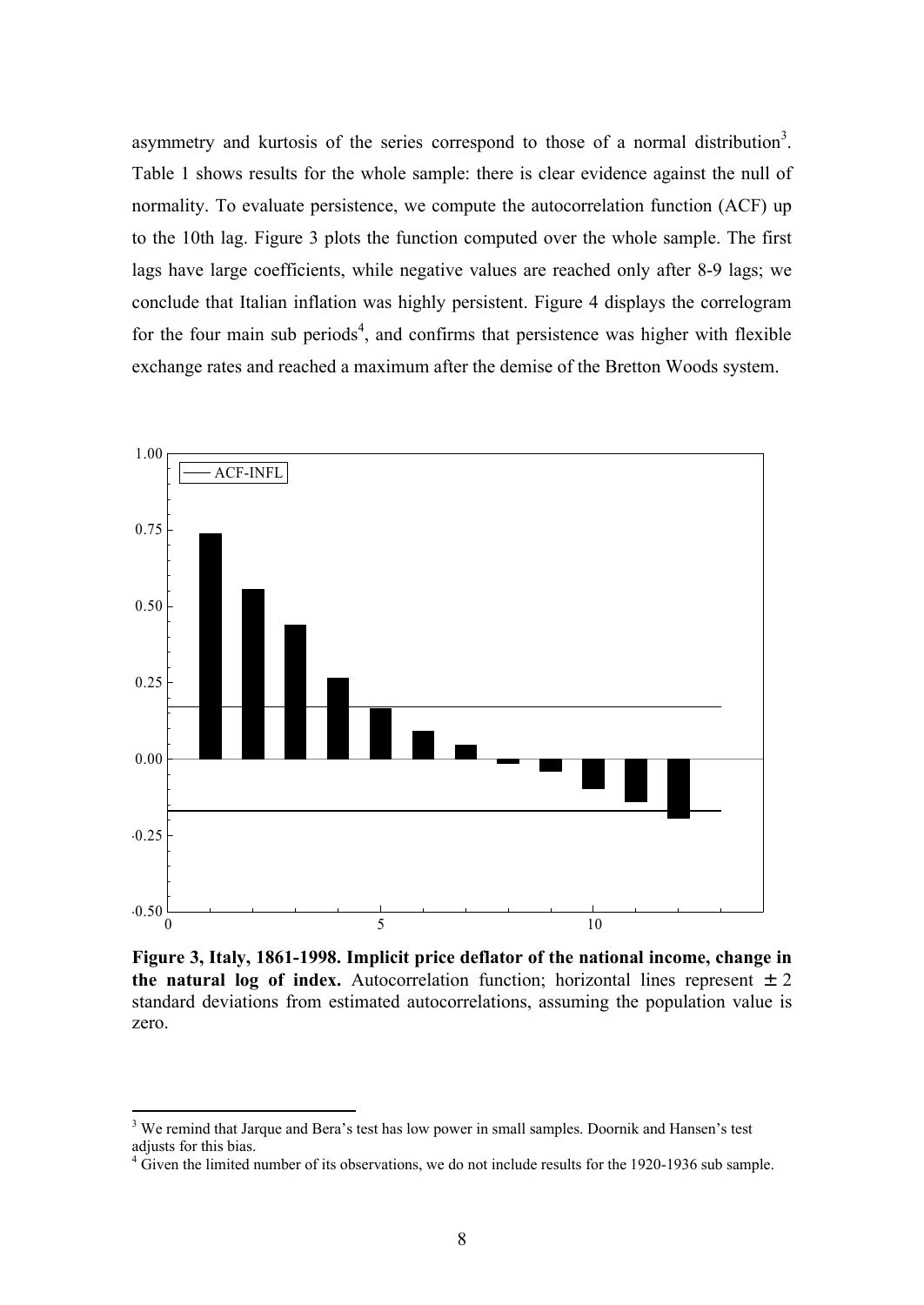asymmetry and kurtosis of the series correspond to those of a normal distribution<sup>3</sup>. Table 1 shows results for the whole sample: there is clear evidence against the null of normality. To evaluate persistence, we compute the autocorrelation function (ACF) up to the 10th lag. Figure 3 plots the function computed over the whole sample. The first lags have large coefficients, while negative values are reached only after 8-9 lags; we conclude that Italian inflation was highly persistent. Figure 4 displays the correlogram for the four main sub periods<sup>4</sup>, and confirms that persistence was higher with flexible exchange rates and reached a maximum after the demise of the Bretton Woods system.



**Figure 3, Italy, 1861-1998. Implicit price deflator of the national income, change in the natural log of index.** Autocorrelation function; horizontal lines represent  $\pm 2$ standard deviations from estimated autocorrelations, assuming the population value is zero.

<sup>&</sup>lt;sup>3</sup> We remind that Jarque and Bera's test has low power in small samples. Doornik and Hansen's test adjusts for this bias.

 $4\,\mathrm{G}$ iven the limited number of its observations, we do not include results for the 1920-1936 sub sample.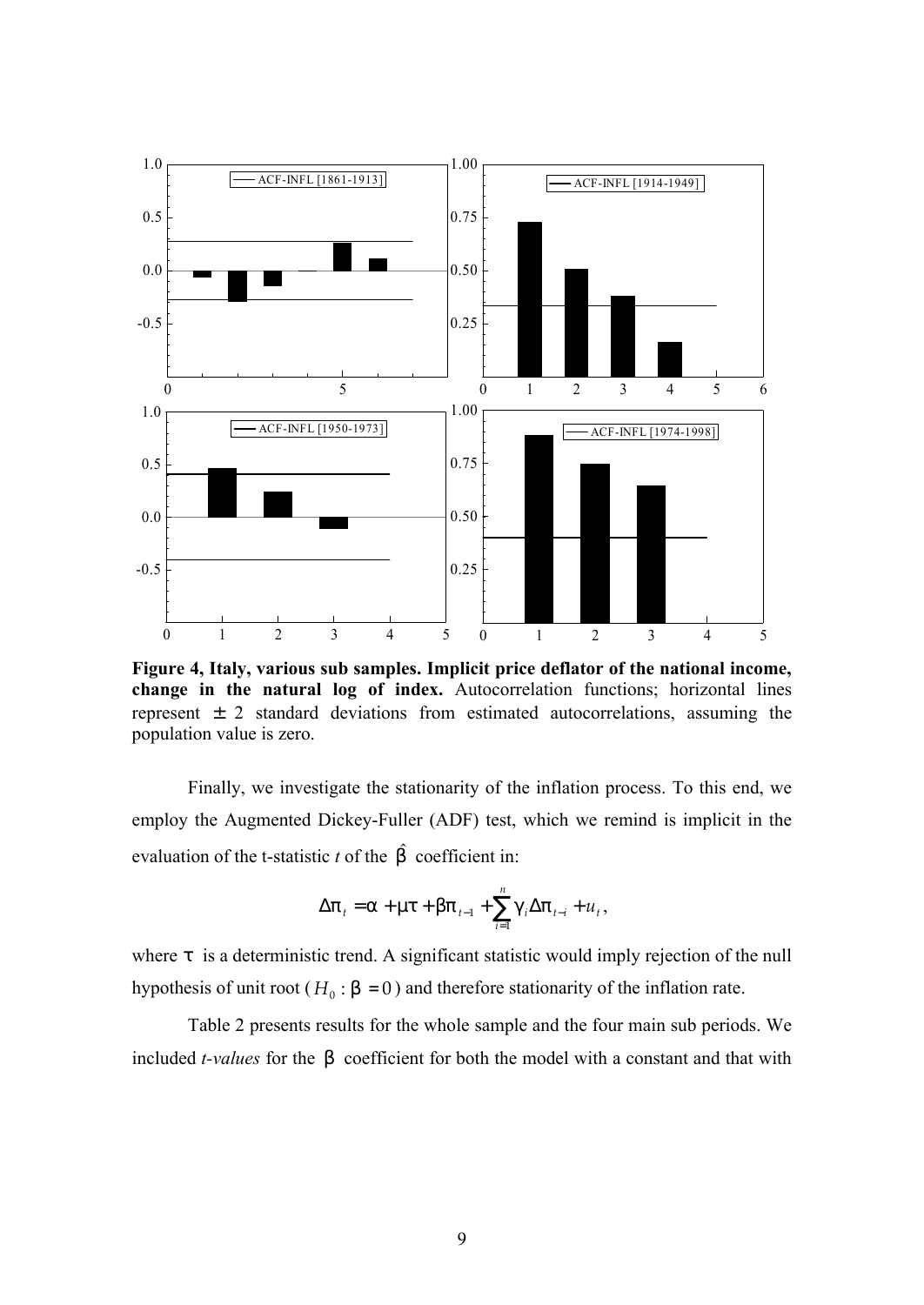

**Figure 4, Italy, various sub samples. Implicit price deflator of the national income, change in the natural log of index.** Autocorrelation functions; horizontal lines represent  $\pm$  2 standard deviations from estimated autocorrelations, assuming the population value is zero.

Finally, we investigate the stationarity of the inflation process. To this end, we employ the Augmented Dickey-Fuller (ADF) test, which we remind is implicit in the evaluation of the t-statistic  $t$  of the  $\hat{b}$  coefficient in:

$$
\Delta p_{t} = a + mt + bp_{t-1} + \sum_{i=1}^{n} g_{i} \Delta p_{t-i} + u_{t},
$$

where t is a deterministic trend. A significant statistic would imply rejection of the null hypothesis of unit root ( $H_0$ :  $b = 0$ ) and therefore stationarity of the inflation rate.

Table 2 presents results for the whole sample and the four main sub periods. We included *t-values* for the *b* coefficient for both the model with a constant and that with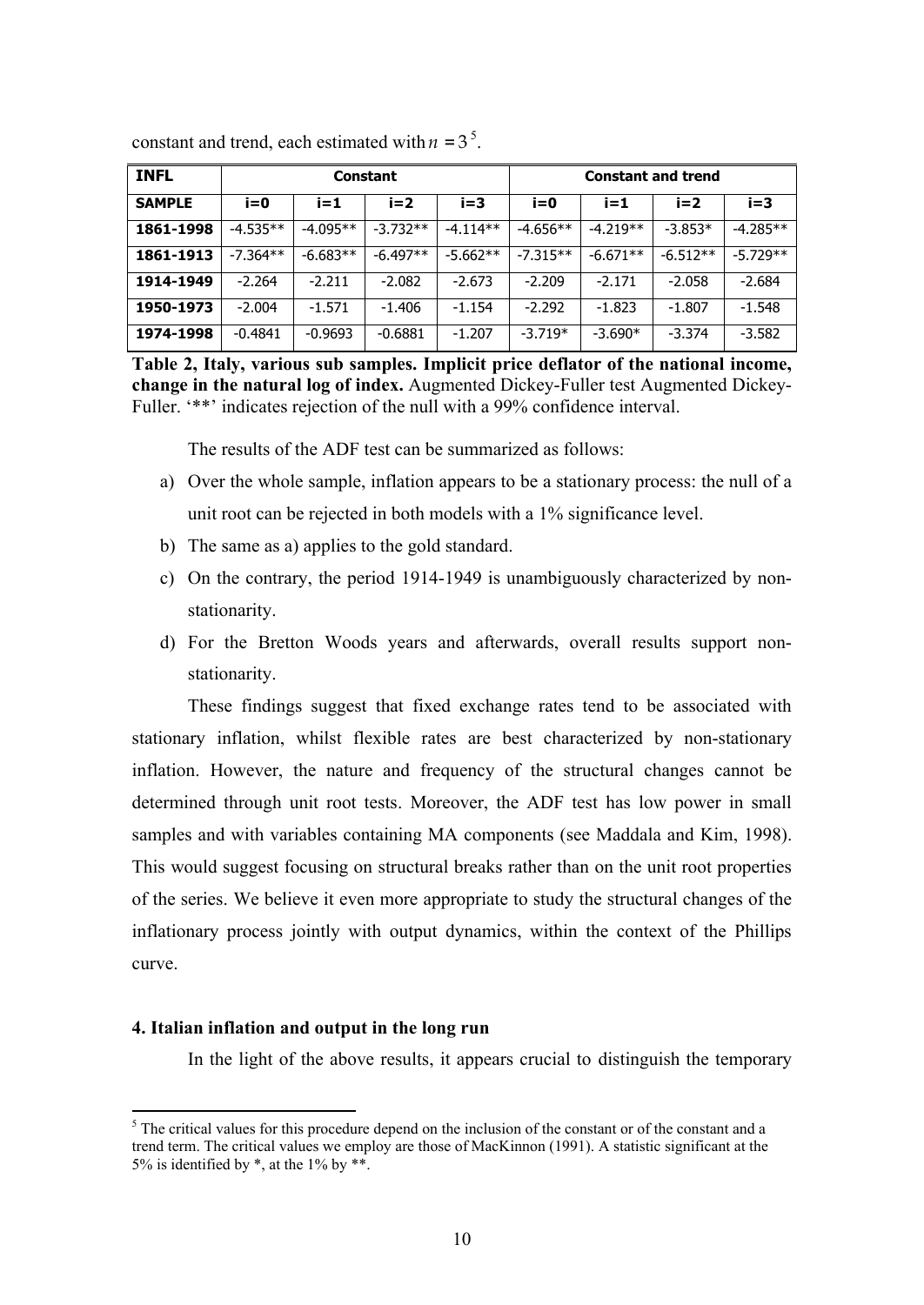| <b>INFL</b>   | <b>Constant</b> |            |            | <b>Constant and trend</b> |            |            |            |            |
|---------------|-----------------|------------|------------|---------------------------|------------|------------|------------|------------|
| <b>SAMPLE</b> | $i=0$           | $i=1$      | $i=2$      | i=3                       | i=0        | $i = 1$    | $i=2$      | $i=3$      |
| 1861-1998     | $-4.535**$      | $-4.095**$ | $-3.732**$ | $-4.114**$                | $-4.656**$ | $-4.219**$ | $-3.853*$  | $-4.285**$ |
| 1861-1913     | $-7.364**$      | $-6.683**$ | $-6.497**$ | $-5.662**$                | $-7.315**$ | $-6.671**$ | $-6.512**$ | $-5.729**$ |
| 1914-1949     | $-2.264$        | $-2.211$   | $-2.082$   | $-2.673$                  | $-2.209$   | $-2.171$   | $-2.058$   | $-2.684$   |
| 1950-1973     | $-2.004$        | $-1.571$   | $-1.406$   | $-1.154$                  | $-2.292$   | $-1.823$   | $-1.807$   | $-1.548$   |
| 1974-1998     | $-0.4841$       | $-0.9693$  | $-0.6881$  | $-1.207$                  | $-3.719*$  | $-3.690*$  | $-3.374$   | $-3.582$   |

constant and trend, each estimated with  $n = 3^5$ .

**Table 2, Italy, various sub samples. Implicit price deflator of the national income, change in the natural log of index.** Augmented Dickey-Fuller test Augmented Dickey-Fuller. '\*\*' indicates rejection of the null with a 99% confidence interval.

The results of the ADF test can be summarized as follows:

- a) Over the whole sample, inflation appears to be a stationary process: the null of a unit root can be rejected in both models with a 1% significance level.
- b) The same as a) applies to the gold standard.
- c) On the contrary, the period 1914-1949 is unambiguously characterized by nonstationarity.
- d) For the Bretton Woods years and afterwards, overall results support nonstationarity.

These findings suggest that fixed exchange rates tend to be associated with stationary inflation, whilst flexible rates are best characterized by non-stationary inflation. However, the nature and frequency of the structural changes cannot be determined through unit root tests. Moreover, the ADF test has low power in small samples and with variables containing MA components (see Maddala and Kim, 1998). This would suggest focusing on structural breaks rather than on the unit root properties of the series. We believe it even more appropriate to study the structural changes of the inflationary process jointly with output dynamics, within the context of the Phillips curve.

## **4. Italian inflation and output in the long run**

 $\overline{a}$ 

In the light of the above results, it appears crucial to distinguish the temporary

<sup>&</sup>lt;sup>5</sup> The critical values for this procedure depend on the inclusion of the constant or of the constant and a trend term. The critical values we employ are those of MacKinnon (1991). A statistic significant at the 5% is identified by  $*$ , at the 1% by  $**$ .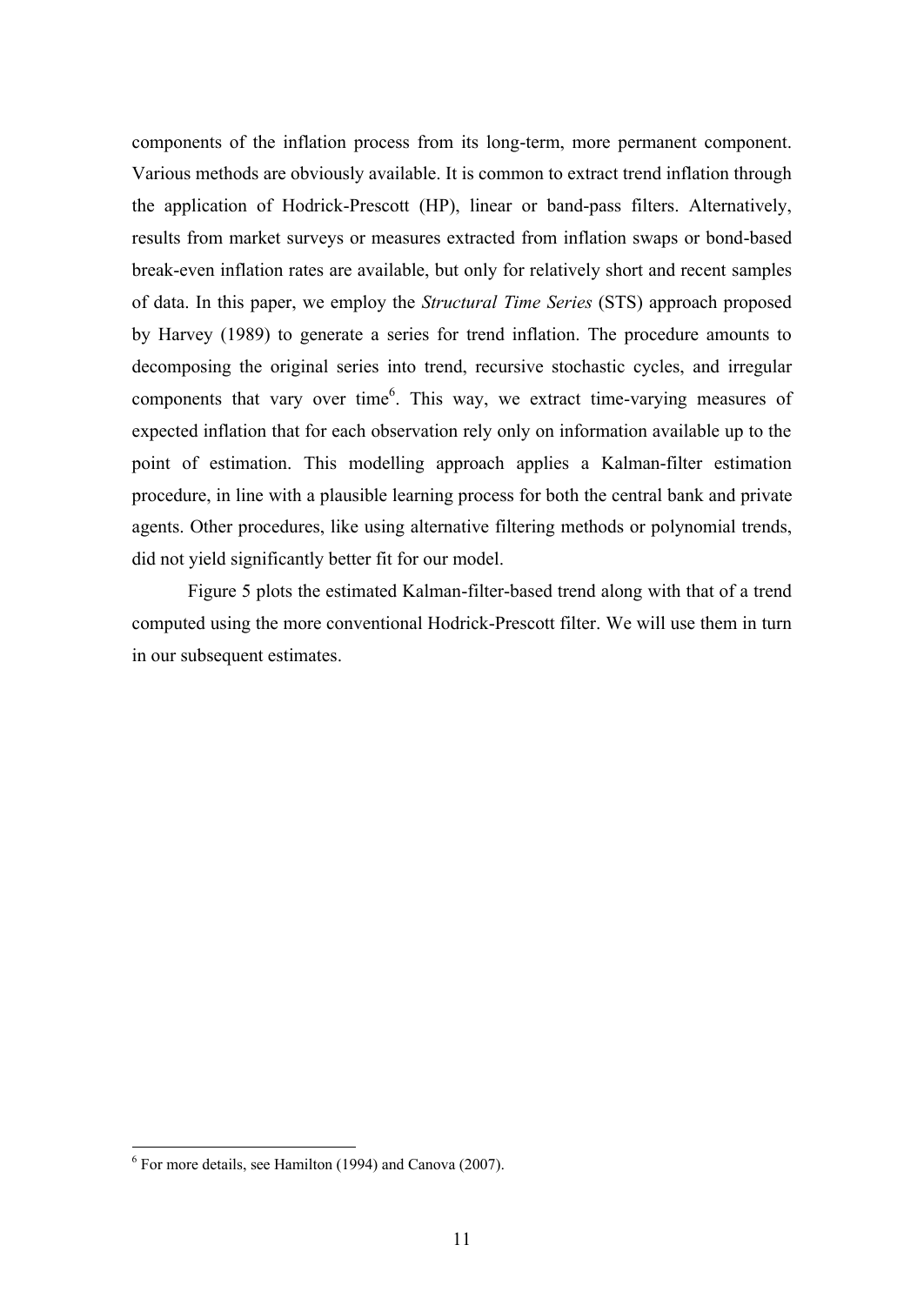components of the inflation process from its long-term, more permanent component. Various methods are obviously available. It is common to extract trend inflation through the application of Hodrick-Prescott (HP), linear or band-pass filters. Alternatively, results from market surveys or measures extracted from inflation swaps or bond-based break-even inflation rates are available, but only for relatively short and recent samples of data. In this paper, we employ the *Structural Time Series* (STS) approach proposed by Harvey (1989) to generate a series for trend inflation. The procedure amounts to decomposing the original series into trend, recursive stochastic cycles, and irregular components that vary over time $<sup>6</sup>$ . This way, we extract time-varying measures of</sup> expected inflation that for each observation rely only on information available up to the point of estimation. This modelling approach applies a Kalman-filter estimation procedure, in line with a plausible learning process for both the central bank and private agents. Other procedures, like using alternative filtering methods or polynomial trends, did not yield significantly better fit for our model.

Figure 5 plots the estimated Kalman-filter-based trend along with that of a trend computed using the more conventional Hodrick-Prescott filter. We will use them in turn in our subsequent estimates.

<sup>6</sup> For more details, see Hamilton (1994) and Canova (2007).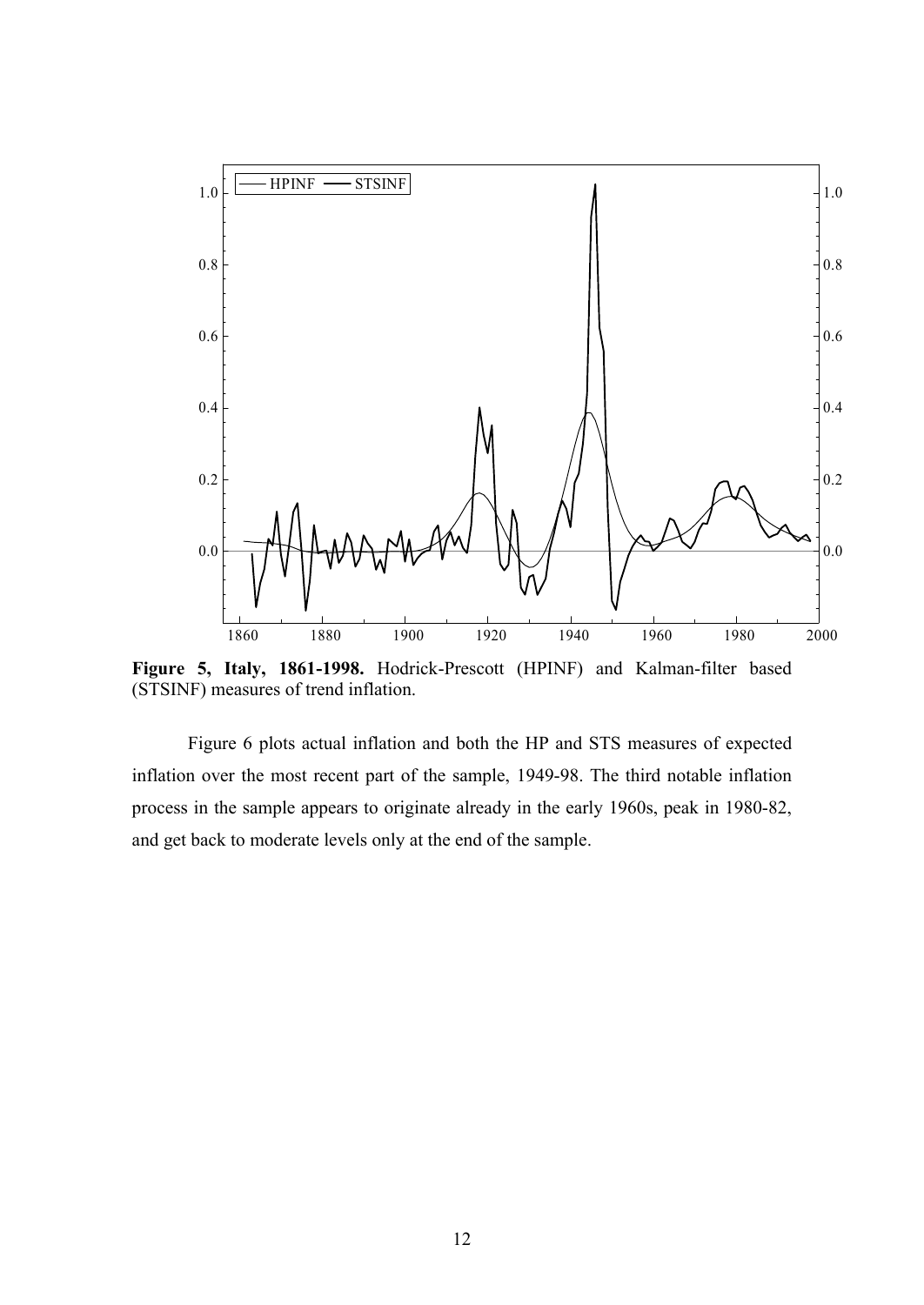

**Figure 5, Italy, 1861-1998.** Hodrick-Prescott (HPINF) and Kalman-filter based (STSINF) measures of trend inflation.

Figure 6 plots actual inflation and both the HP and STS measures of expected inflation over the most recent part of the sample, 1949-98. The third notable inflation process in the sample appears to originate already in the early 1960s, peak in 1980-82, and get back to moderate levels only at the end of the sample.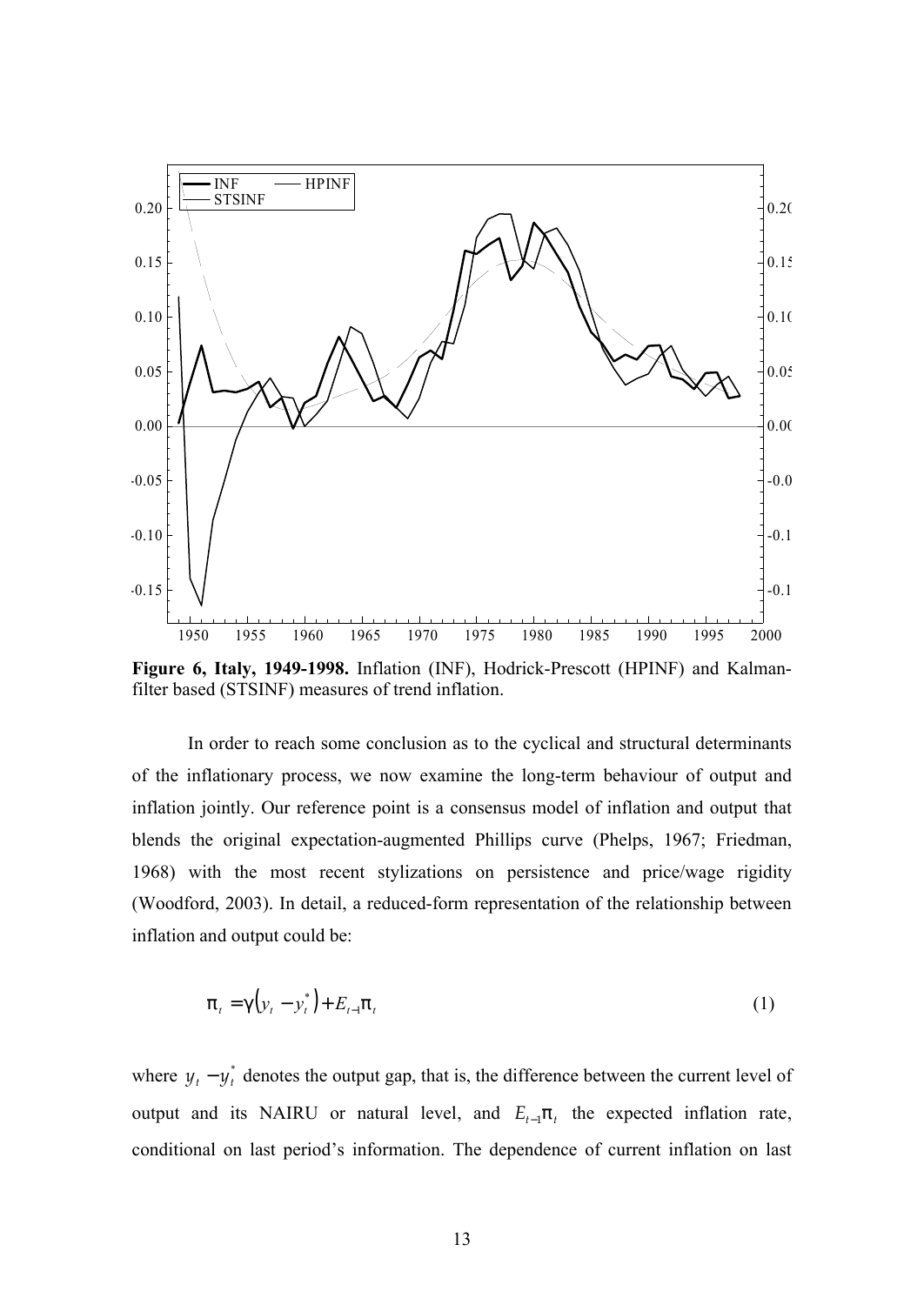

**Figure 6, Italy, 1949-1998.** Inflation (INF), Hodrick-Prescott (HPINF) and Kalmanfilter based (STSINF) measures of trend inflation.

In order to reach some conclusion as to the cyclical and structural determinants of the inflationary process, we now examine the long-term behaviour of output and inflation jointly. Our reference point is a consensus model of inflation and output that blends the original expectation-augmented Phillips curve (Phelps, 1967; Friedman, 1968) with the most recent stylizations on persistence and price/wage rigidity (Woodford, 2003). In detail, a reduced-form representation of the relationship between inflation and output could be:

$$
\mathsf{p}_t = \mathsf{g}\left(y_t - y_t^*\right) + E_{t-1}\mathsf{p}_t\tag{1}
$$

where  $y_t - y_t^*$  denotes the output gap, that is, the difference between the current level of output and its NAIRU or natural level, and  $E_{t-1}$  $p_t$  the expected inflation rate, conditional on last period's information. The dependence of current inflation on last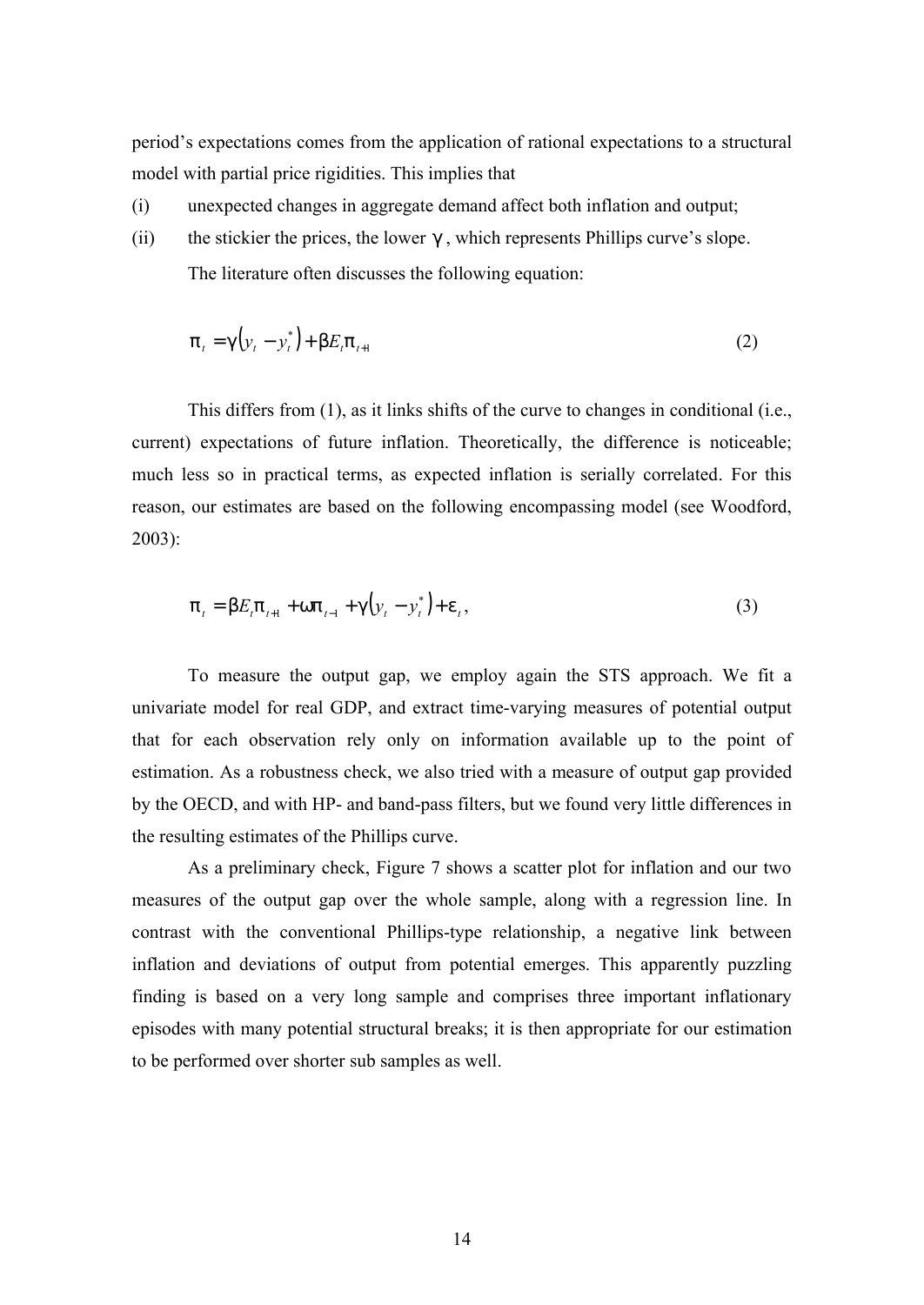period's expectations comes from the application of rational expectations to a structural model with partial price rigidities. This implies that

- (i) unexpected changes in aggregate demand affect both inflation and output;
- (ii) the stickier the prices, the lower *g* , which represents Phillips curve's slope. The literature often discusses the following equation:

$$
p_{t} = g\left(y_{t} - y_{t}^{*}\right) + bE_{t}p_{t+1}
$$
\n(2)

This differs from (1), as it links shifts of the curve to changes in conditional (i.e., current) expectations of future inflation. Theoretically, the difference is noticeable; much less so in practical terms, as expected inflation is serially correlated. For this reason, our estimates are based on the following encompassing model (see Woodford, 2003):

$$
p_{t} = bE_{t}p_{t+1} + wp_{t-1} + g(y_{t} - y_{t}^{*}) + e_{t},
$$
\n(3)

To measure the output gap, we employ again the STS approach. We fit a univariate model for real GDP, and extract time-varying measures of potential output that for each observation rely only on information available up to the point of estimation. As a robustness check, we also tried with a measure of output gap provided by the OECD, and with HP- and band-pass filters, but we found very little differences in the resulting estimates of the Phillips curve.

As a preliminary check, Figure 7 shows a scatter plot for inflation and our two measures of the output gap over the whole sample, along with a regression line. In contrast with the conventional Phillips-type relationship, a negative link between inflation and deviations of output from potential emerges. This apparently puzzling finding is based on a very long sample and comprises three important inflationary episodes with many potential structural breaks; it is then appropriate for our estimation to be performed over shorter sub samples as well.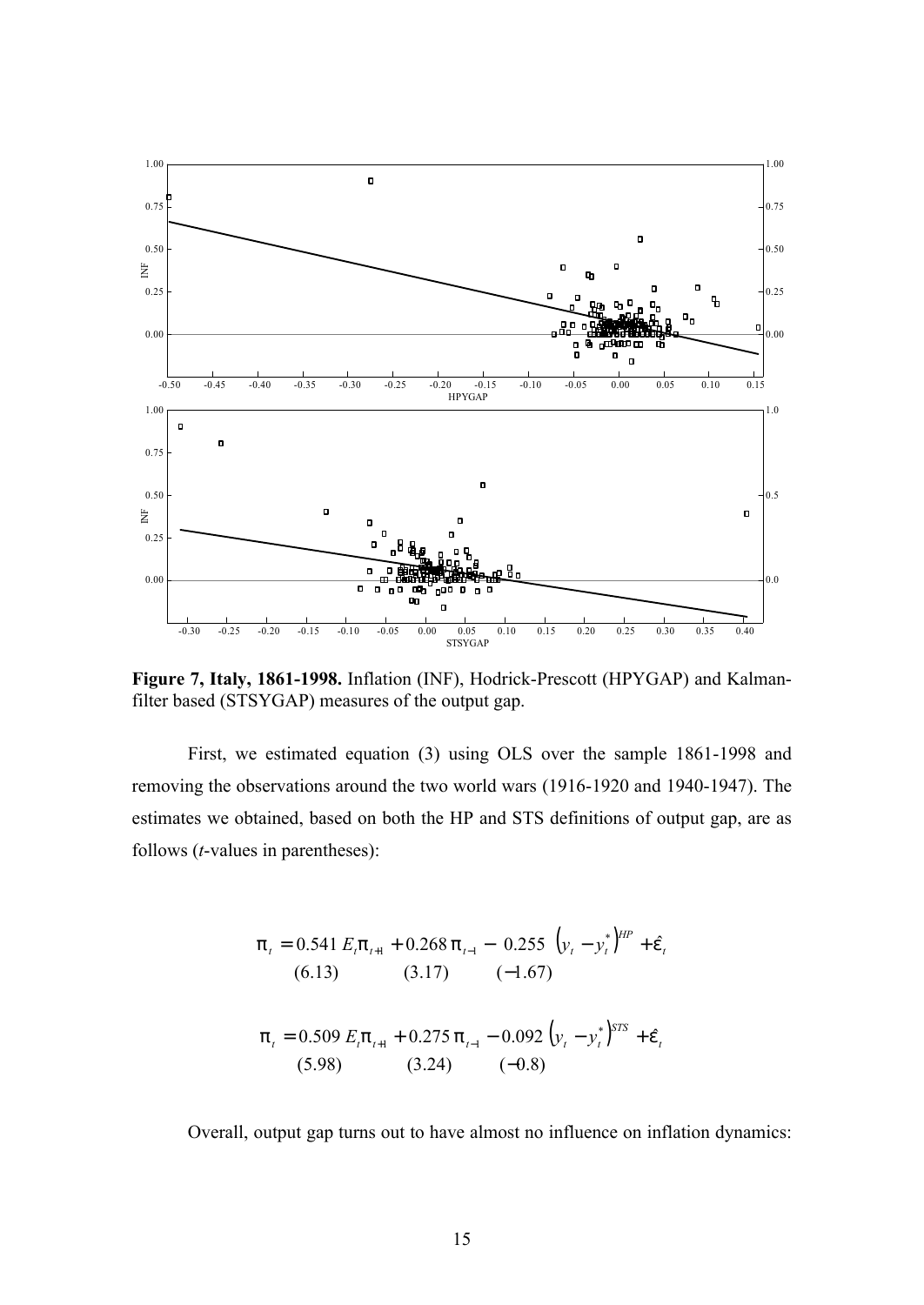

**Figure 7, Italy, 1861-1998.** Inflation (INF), Hodrick-Prescott (HPYGAP) and Kalmanfilter based (STSYGAP) measures of the output gap.

First, we estimated equation (3) using OLS over the sample 1861-1998 and removing the observations around the two world wars (1916-1920 and 1940-1947). The estimates we obtained, based on both the HP and STS definitions of output gap, are as follows (*t*-values in parentheses):

$$
p_{t} = 0.541 E_{t} p_{t+1} + 0.268 p_{t-1} - 0.255 (y_{t} - y_{t}^{*})^{HP} + \hat{e}_{t}
$$
  
(6.13) (3.17) (-1.67)  

$$
p_{t} = 0.509 E_{t} p_{t+1} + 0.275 p_{t-1} - 0.092 (y_{t} - y_{t}^{*})^{STS} + \hat{e}_{t}
$$
  
(5.98) (3.24) (-0.8)

Overall, output gap turns out to have almost no influence on inflation dynamics: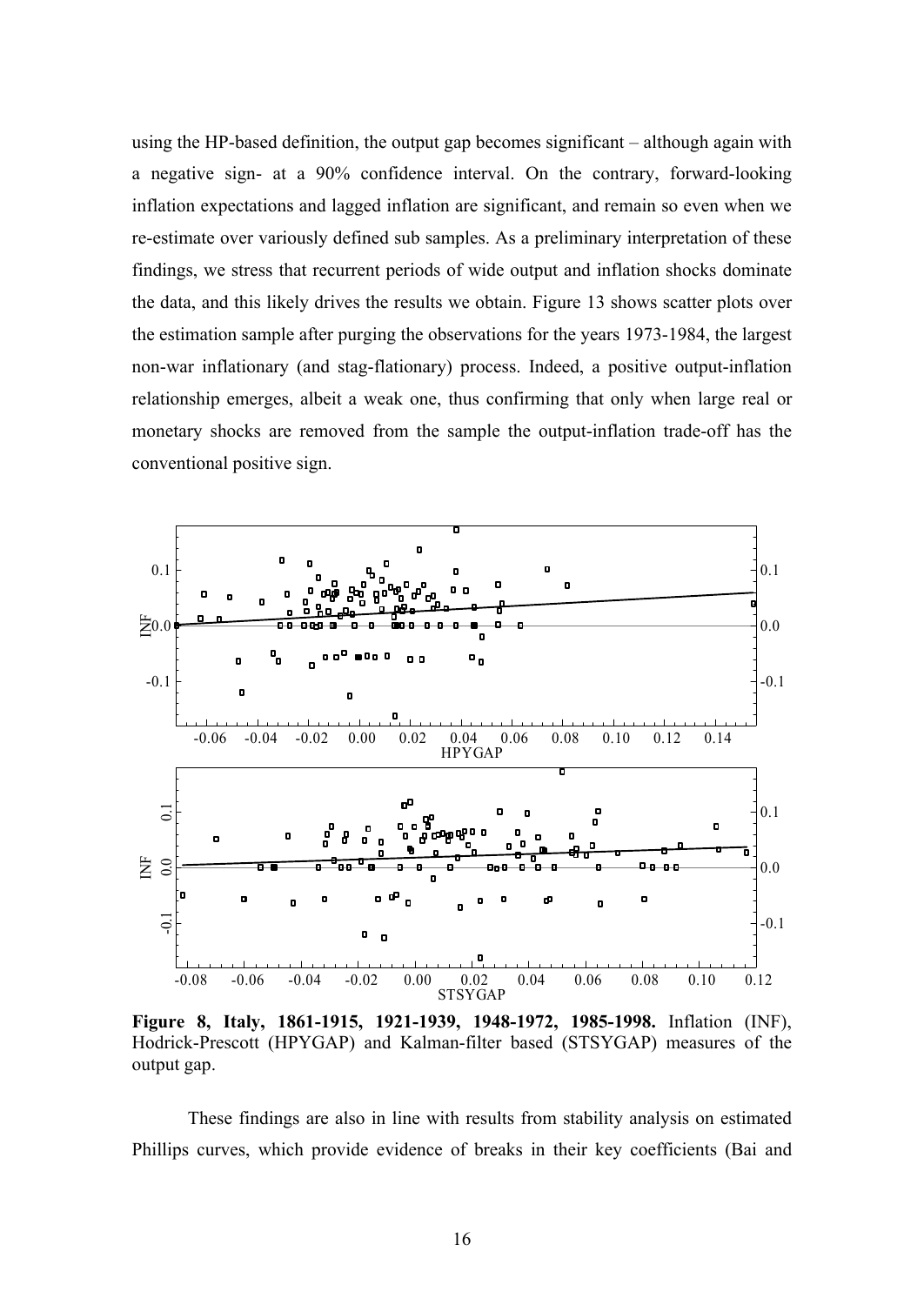using the HP-based definition, the output gap becomes significant – although again with a negative sign- at a 90% confidence interval. On the contrary, forward-looking inflation expectations and lagged inflation are significant, and remain so even when we re-estimate over variously defined sub samples. As a preliminary interpretation of these findings, we stress that recurrent periods of wide output and inflation shocks dominate the data, and this likely drives the results we obtain. Figure 13 shows scatter plots over the estimation sample after purging the observations for the years 1973-1984, the largest non-war inflationary (and stag-flationary) process. Indeed, a positive output-inflation relationship emerges, albeit a weak one, thus confirming that only when large real or monetary shocks are removed from the sample the output-inflation trade-off has the conventional positive sign.



**Figure 8, Italy, 1861-1915, 1921-1939, 1948-1972, 1985-1998.** Inflation (INF), Hodrick-Prescott (HPYGAP) and Kalman-filter based (STSYGAP) measures of the output gap.

These findings are also in line with results from stability analysis on estimated Phillips curves, which provide evidence of breaks in their key coefficients (Bai and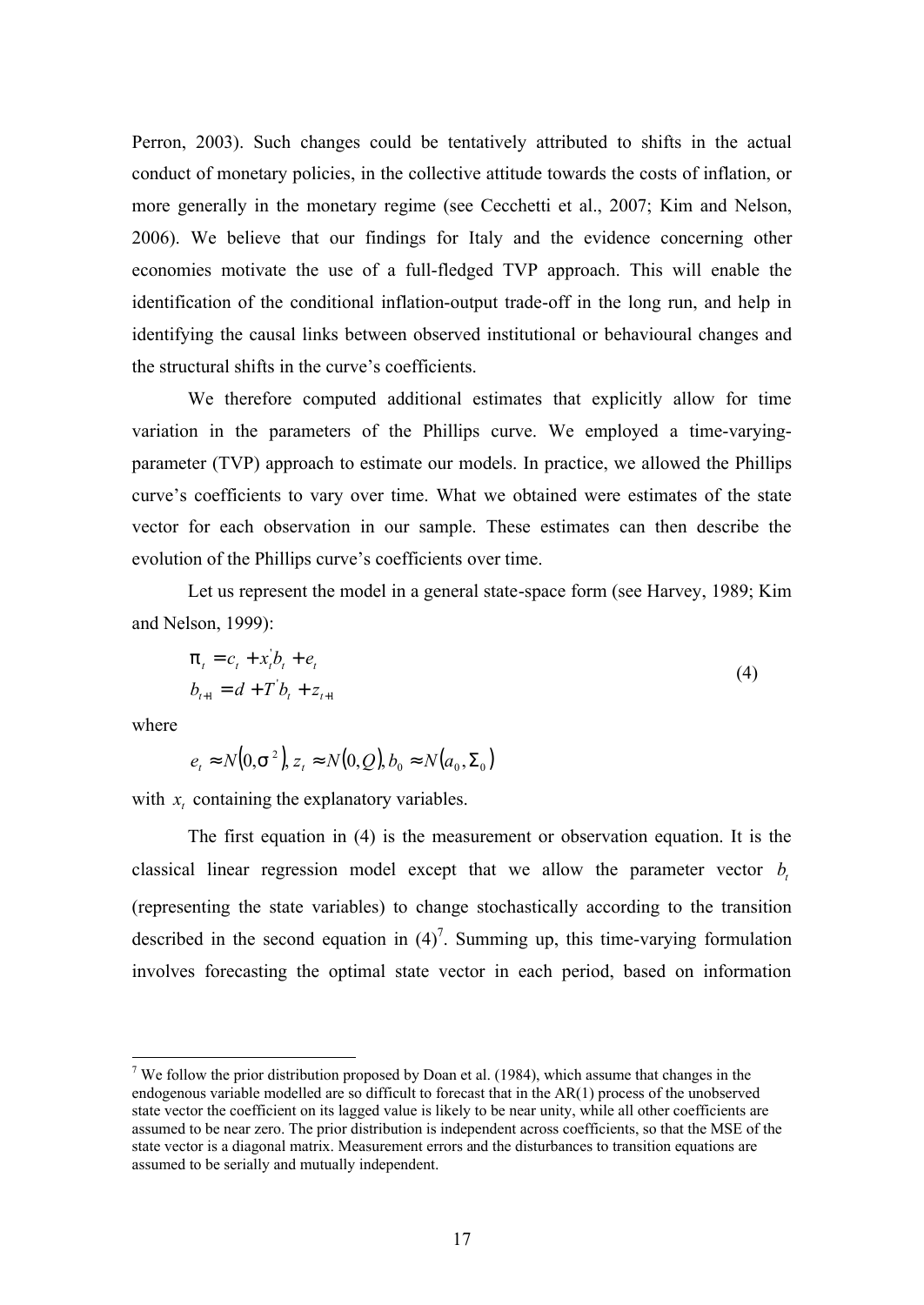Perron, 2003). Such changes could be tentatively attributed to shifts in the actual conduct of monetary policies, in the collective attitude towards the costs of inflation, or more generally in the monetary regime (see Cecchetti et al., 2007; Kim and Nelson, 2006). We believe that our findings for Italy and the evidence concerning other economies motivate the use of a full-fledged TVP approach. This will enable the identification of the conditional inflation-output trade-off in the long run, and help in identifying the causal links between observed institutional or behavioural changes and the structural shifts in the curve's coefficients.

We therefore computed additional estimates that explicitly allow for time variation in the parameters of the Phillips curve. We employed a time-varyingparameter (TVP) approach to estimate our models. In practice, we allowed the Phillips curve's coefficients to vary over time. What we obtained were estimates of the state vector for each observation in our sample. These estimates can then describe the evolution of the Phillips curve's coefficients over time.

Let us represent the model in a general state-space form (see Harvey, 1989; Kim and Nelson, 1999):

$$
p_{t} = c_{t} + x_{t}^{'}b_{t} + e_{t}
$$
  
\n
$$
b_{t+1} = d + T^{'}b_{t} + z_{t+1}
$$
\n(4)

where

 $\overline{a}$ 

$$
e_t \approx N(0, s^2), z_t \approx N(0, Q), b_0 \approx N(a_0, \Sigma_0)
$$

with  $x_t$  containing the explanatory variables.

The first equation in (4) is the measurement or observation equation. It is the classical linear regression model except that we allow the parameter vector  $b_t$ (representing the state variables) to change stochastically according to the transition described in the second equation in  $(4)^7$ . Summing up, this time-varying formulation involves forecasting the optimal state vector in each period, based on information

<sup>&</sup>lt;sup>7</sup> We follow the prior distribution proposed by Doan et al. (1984), which assume that changes in the endogenous variable modelled are so difficult to forecast that in the AR(1) process of the unobserved state vector the coefficient on its lagged value is likely to be near unity, while all other coefficients are assumed to be near zero. The prior distribution is independent across coefficients, so that the MSE of the state vector is a diagonal matrix. Measurement errors and the disturbances to transition equations are assumed to be serially and mutually independent.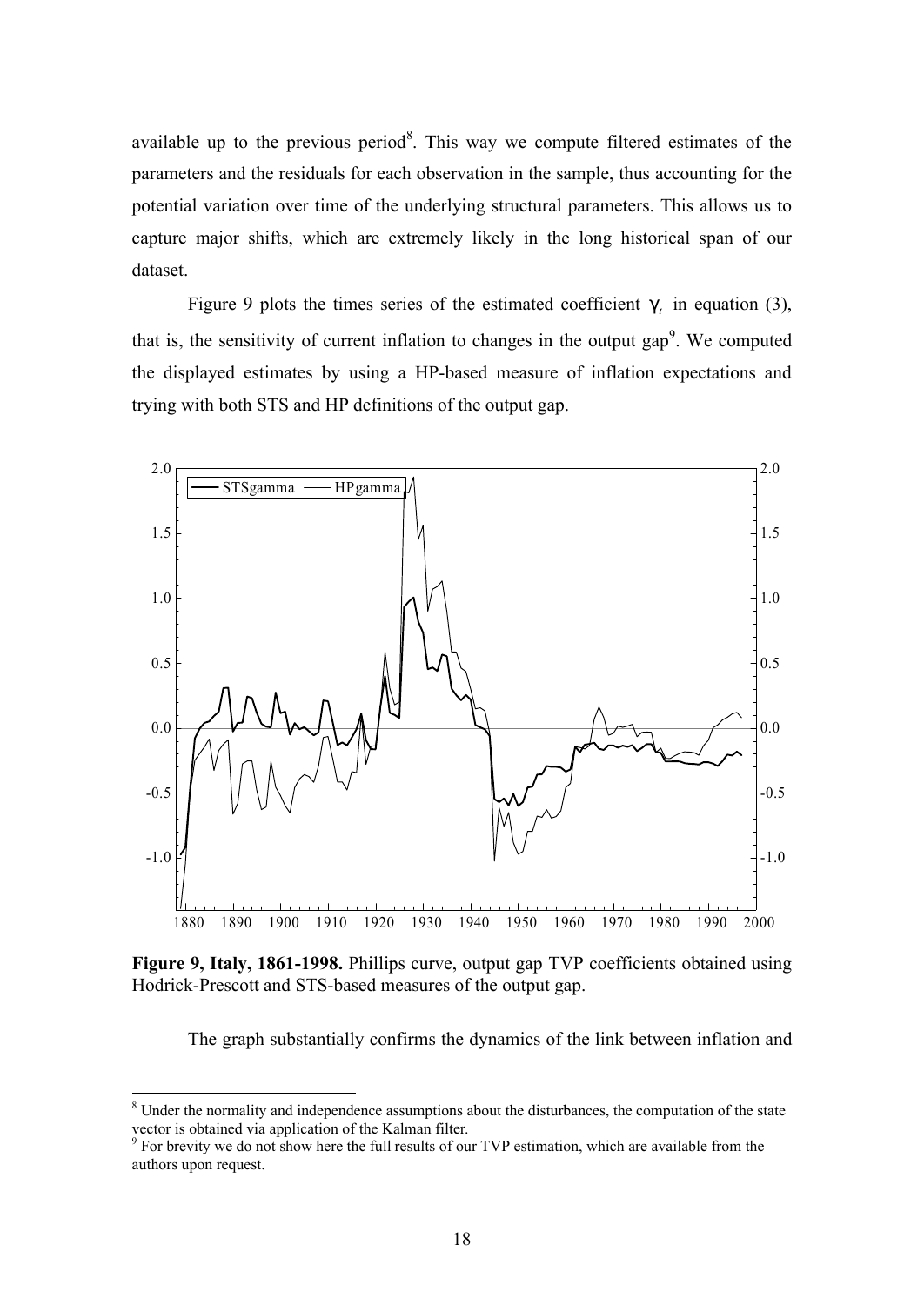available up to the previous period<sup>8</sup>. This way we compute filtered estimates of the parameters and the residuals for each observation in the sample, thus accounting for the potential variation over time of the underlying structural parameters. This allows us to capture major shifts, which are extremely likely in the long historical span of our dataset.

Figure 9 plots the times series of the estimated coefficient  $g_t$  in equation (3), that is, the sensitivity of current inflation to changes in the output gap<sup>9</sup>. We computed the displayed estimates by using a HP-based measure of inflation expectations and trying with both STS and HP definitions of the output gap.



**Figure 9, Italy, 1861-1998.** Phillips curve, output gap TVP coefficients obtained using Hodrick-Prescott and STS-based measures of the output gap.

The graph substantially confirms the dynamics of the link between inflation and

<sup>&</sup>lt;sup>8</sup> Under the normality and independence assumptions about the disturbances, the computation of the state vector is obtained via application of the Kalman filter.

<sup>&</sup>lt;sup>9</sup> For brevity we do not show here the full results of our TVP estimation, which are available from the authors upon request.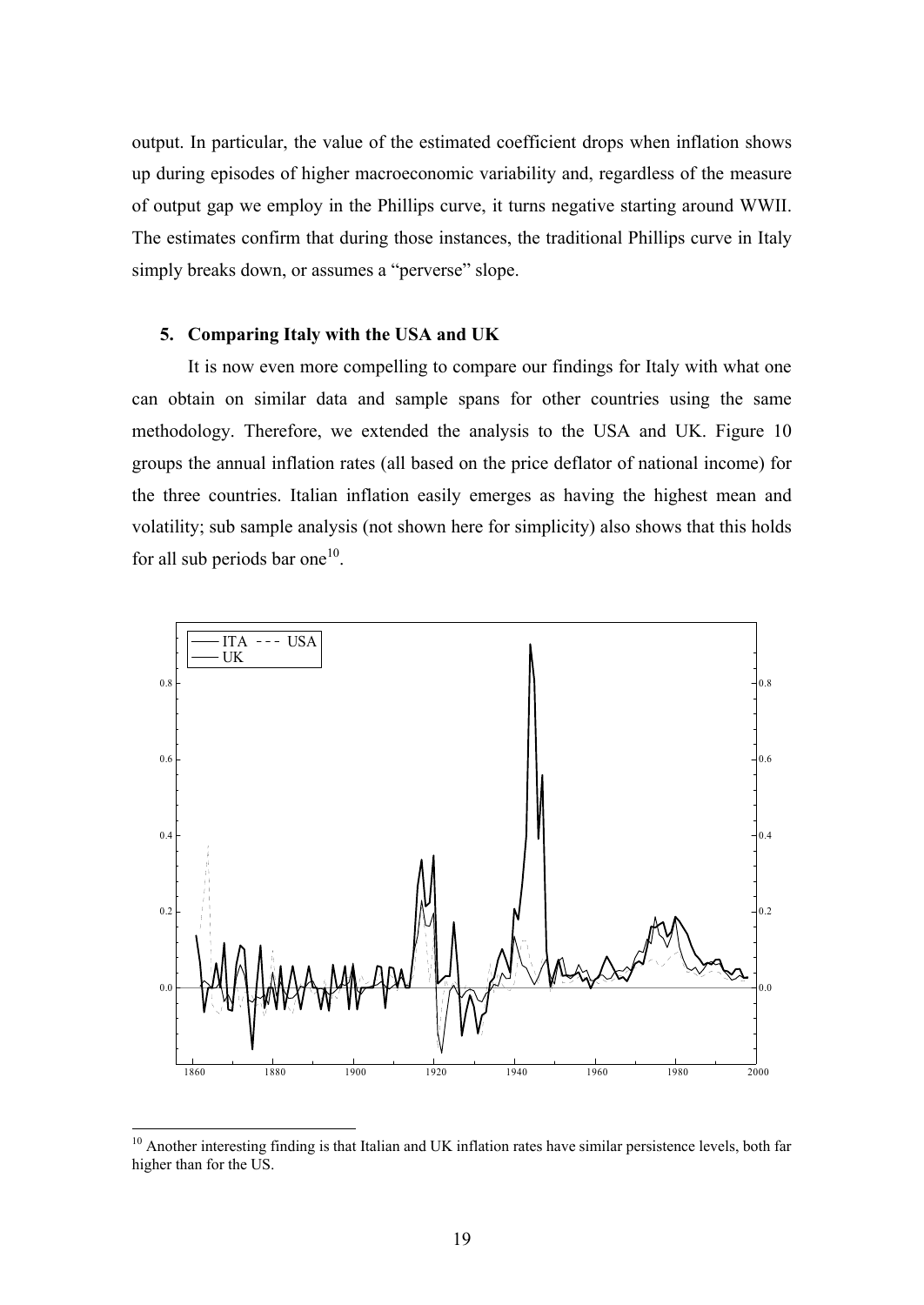output. In particular, the value of the estimated coefficient drops when inflation shows up during episodes of higher macroeconomic variability and, regardless of the measure of output gap we employ in the Phillips curve, it turns negative starting around WWII. The estimates confirm that during those instances, the traditional Phillips curve in Italy simply breaks down, or assumes a "perverse" slope.

# **5. Comparing Italy with the USA and UK**

It is now even more compelling to compare our findings for Italy with what one can obtain on similar data and sample spans for other countries using the same methodology. Therefore, we extended the analysis to the USA and UK. Figure 10 groups the annual inflation rates (all based on the price deflator of national income) for the three countries. Italian inflation easily emerges as having the highest mean and volatility; sub sample analysis (not shown here for simplicity) also shows that this holds for all sub periods bar one<sup>10</sup>.



<sup>&</sup>lt;sup>10</sup> Another interesting finding is that Italian and UK inflation rates have similar persistence levels, both far higher than for the US.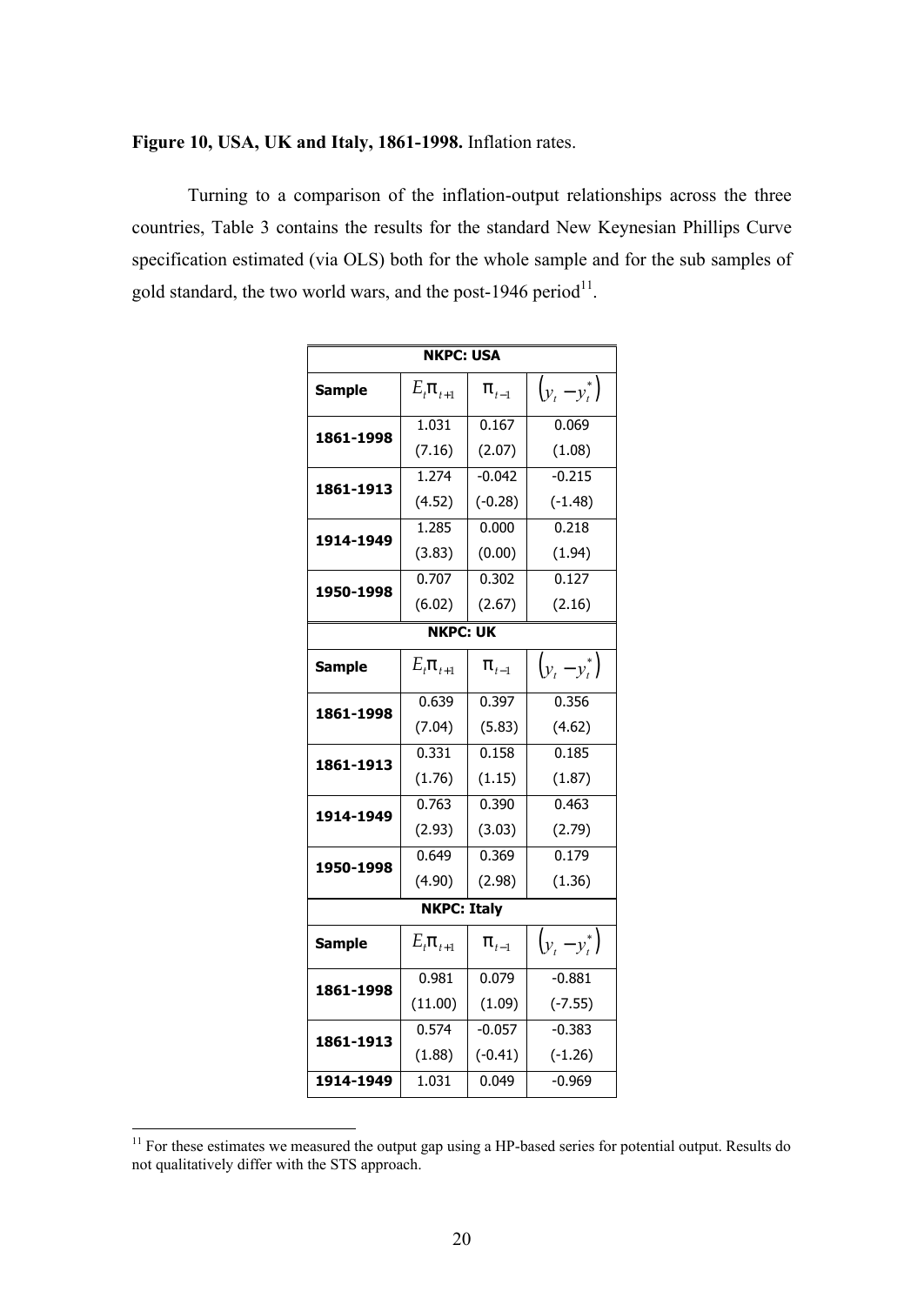## **Figure 10, USA, UK and Italy, 1861-1998.** Inflation rates.

Turning to a comparison of the inflation-output relationships across the three countries, Table 3 contains the results for the standard New Keynesian Phillips Curve specification estimated (via OLS) both for the whole sample and for the sub samples of gold standard, the two world wars, and the post-1946 period $^{11}$ .

| <b>NKPC: USA</b>   |                          |           |                 |  |  |
|--------------------|--------------------------|-----------|-----------------|--|--|
| <b>Sample</b>      | $E_t \mathsf{p}_{t+1}$   | $p_{t-1}$ | $(y_t - y_t^*)$ |  |  |
| 1861-1998          | 1.031                    | 0.167     | 0.069           |  |  |
|                    | (7.16)                   | (2.07)    | (1.08)          |  |  |
| 1861-1913          | 1.274                    | $-0.042$  | $-0.215$        |  |  |
|                    | (4.52)                   | $(-0.28)$ | $(-1.48)$       |  |  |
| 1914-1949          | 1.285                    | 0.000     | 0.218           |  |  |
|                    | (3.83)                   | (0.00)    | (1.94)          |  |  |
|                    | 0.707                    | 0.302     | 0.127           |  |  |
| 1950-1998          | (6.02)                   | (2.67)    | (2.16)          |  |  |
| <b>NKPC: UK</b>    |                          |           |                 |  |  |
| <b>Sample</b>      | $E_t \mathsf{p}_{t+1}$   | $p_{t-1}$ | $(y_t - y_t^*)$ |  |  |
| 1861-1998          | 0.639                    | 0.397     | 0.356           |  |  |
|                    | (7.04)                   | (5.83)    | (4.62)          |  |  |
| 1861-1913          | 0.331                    | 0.158     | 0.185           |  |  |
|                    | (1.76)                   | (1.15)    | (1.87)          |  |  |
| 1914-1949          | 0.763                    | 0.390     | 0.463           |  |  |
|                    | (2.93)                   | (3.03)    | (2.79)          |  |  |
| 1950-1998          | 0.649                    | 0.369     | 0.179           |  |  |
|                    | (4.90)                   | (2.98)    | (1.36)          |  |  |
| <b>NKPC: Italy</b> |                          |           |                 |  |  |
| <b>Sample</b>      | $E_{t}$ p <sub>t+1</sub> | $p_{t-1}$ | $(y_t - y_t^*)$ |  |  |
| 1861-1998          | 0.981                    | 0.079     | $-0.881$        |  |  |
|                    | (11.00)                  | (1.09)    | $(-7.55)$       |  |  |
| 1861-1913          | 0.574                    | $-0.057$  | $-0.383$        |  |  |
|                    | (1.88)                   | $(-0.41)$ | $(-1.26)$       |  |  |
| 1914-1949          | 1.031                    | 0.049     | $-0.969$        |  |  |

 $11$  For these estimates we measured the output gap using a HP-based series for potential output. Results do not qualitatively differ with the STS approach.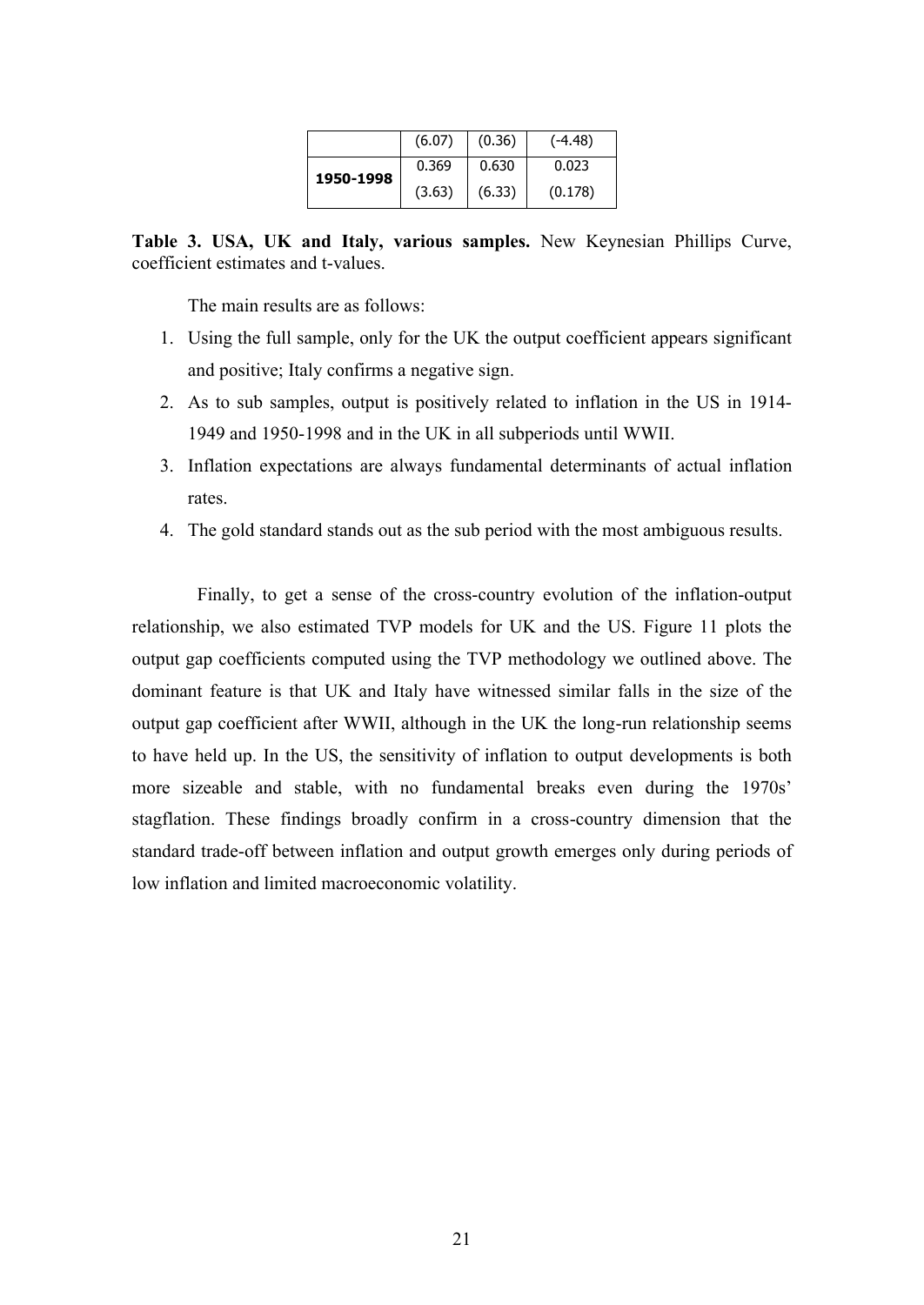|           | (6.07) | (0.36) | $(-4.48)$ |
|-----------|--------|--------|-----------|
| 1950-1998 | 0.369  | 0.630  | 0.023     |
|           | (3.63) | (6.33) | (0.178)   |

**Table 3. USA, UK and Italy, various samples.** New Keynesian Phillips Curve, coefficient estimates and t-values.

The main results are as follows:

- 1. Using the full sample, only for the UK the output coefficient appears significant and positive; Italy confirms a negative sign.
- 2. As to sub samples, output is positively related to inflation in the US in 1914- 1949 and 1950-1998 and in the UK in all subperiods until WWII.
- 3. Inflation expectations are always fundamental determinants of actual inflation rates.
- 4. The gold standard stands out as the sub period with the most ambiguous results.

Finally, to get a sense of the cross-country evolution of the inflation-output relationship, we also estimated TVP models for UK and the US. Figure 11 plots the output gap coefficients computed using the TVP methodology we outlined above. The dominant feature is that UK and Italy have witnessed similar falls in the size of the output gap coefficient after WWII, although in the UK the long-run relationship seems to have held up. In the US, the sensitivity of inflation to output developments is both more sizeable and stable, with no fundamental breaks even during the 1970s' stagflation. These findings broadly confirm in a cross-country dimension that the standard trade-off between inflation and output growth emerges only during periods of low inflation and limited macroeconomic volatility.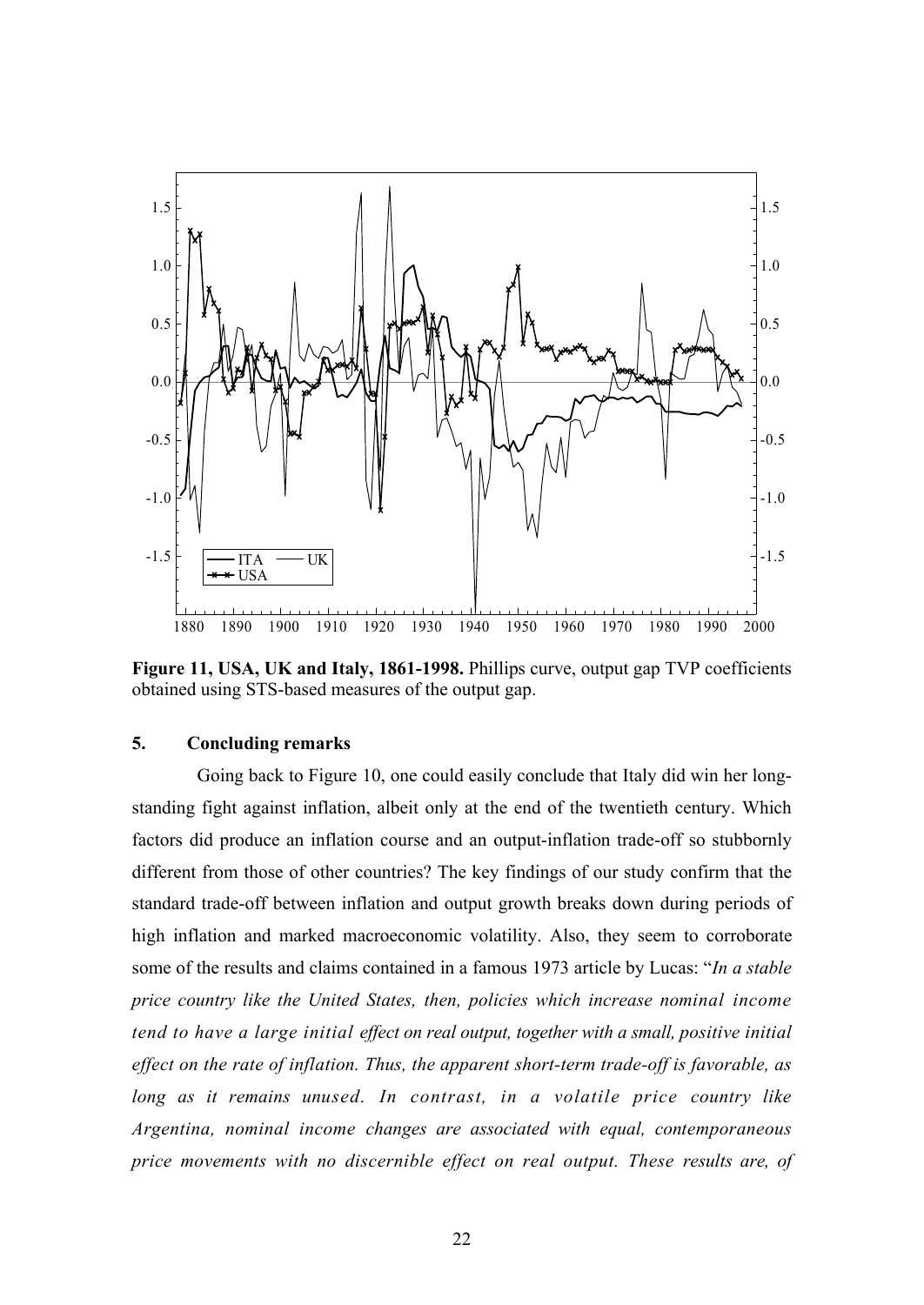

**Figure 11, USA, UK and Italy, 1861-1998.** Phillips curve, output gap TVP coefficients obtained using STS-based measures of the output gap.

#### **5. Concluding remarks**

Going back to Figure 10, one could easily conclude that Italy did win her longstanding fight against inflation, albeit only at the end of the twentieth century. Which factors did produce an inflation course and an output-inflation trade-off so stubbornly different from those of other countries? The key findings of our study confirm that the standard trade-off between inflation and output growth breaks down during periods of high inflation and marked macroeconomic volatility. Also, they seem to corroborate some of the results and claims contained in a famous 1973 article by Lucas: "*In a stable price country like the United States, then, policies which increase nominal income tend to have a large initial effect on real output, together with a small, positive initial effect on the rate of inflation. Thus, the apparent short-term trade-off is favorable, as long as it remains unused. In contrast, in a volatile price country like Argentina, nominal income changes are associated with equal, contemporaneous price movements with no discernible effect on real output. These results are, of*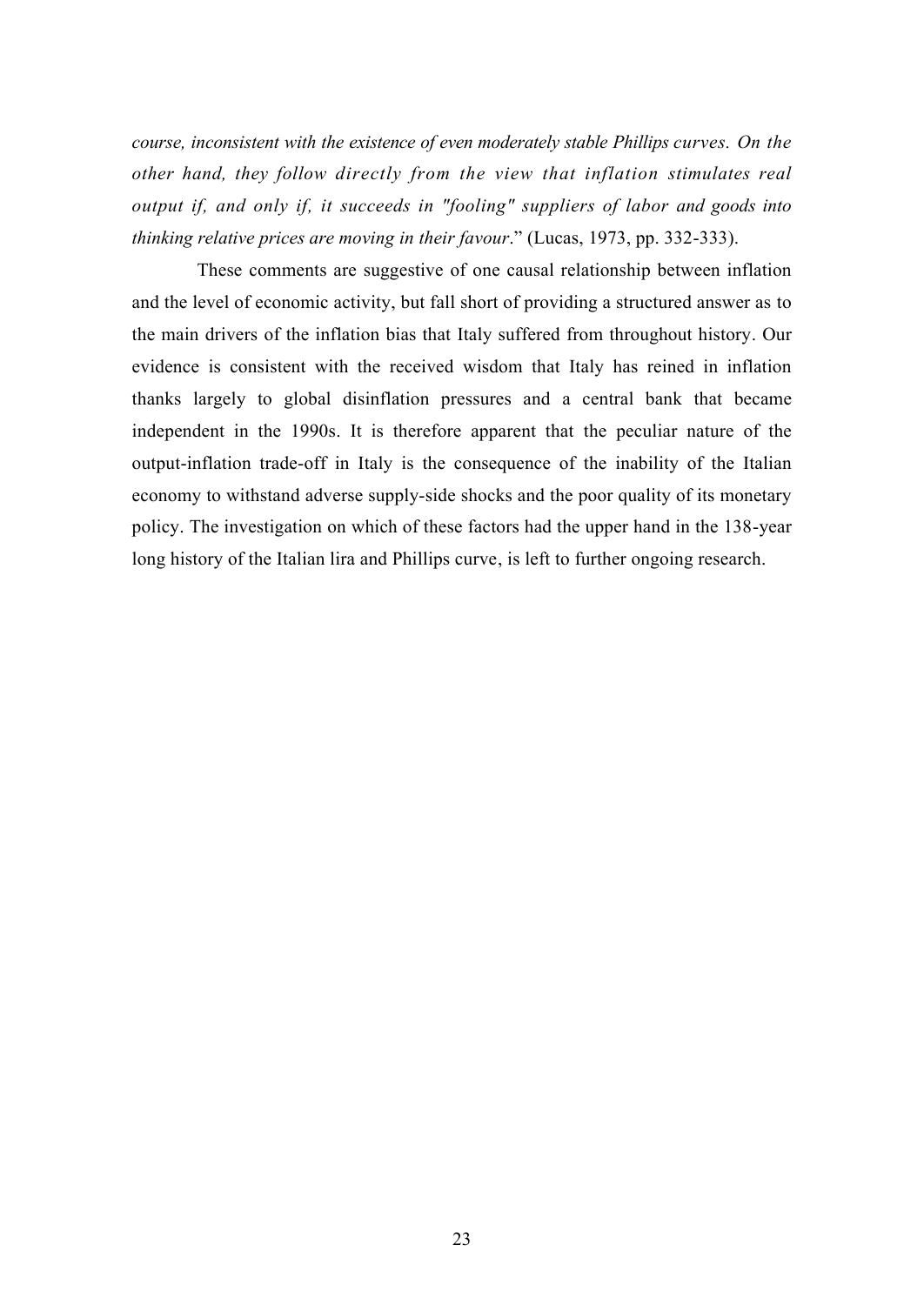*course, inconsistent with the existence of even moderately stable Phillips curves. On the other hand, they follow directly from the view that inflation stimulates real output if, and only if, it succeeds in "fooling" suppliers of labor and goods into thinking relative prices are moving in their favour*." (Lucas, 1973, pp. 332-333).

These comments are suggestive of one causal relationship between inflation and the level of economic activity, but fall short of providing a structured answer as to the main drivers of the inflation bias that Italy suffered from throughout history. Our evidence is consistent with the received wisdom that Italy has reined in inflation thanks largely to global disinflation pressures and a central bank that became independent in the 1990s. It is therefore apparent that the peculiar nature of the output-inflation trade-off in Italy is the consequence of the inability of the Italian economy to withstand adverse supply-side shocks and the poor quality of its monetary policy. The investigation on which of these factors had the upper hand in the 138-year long history of the Italian lira and Phillips curve, is left to further ongoing research.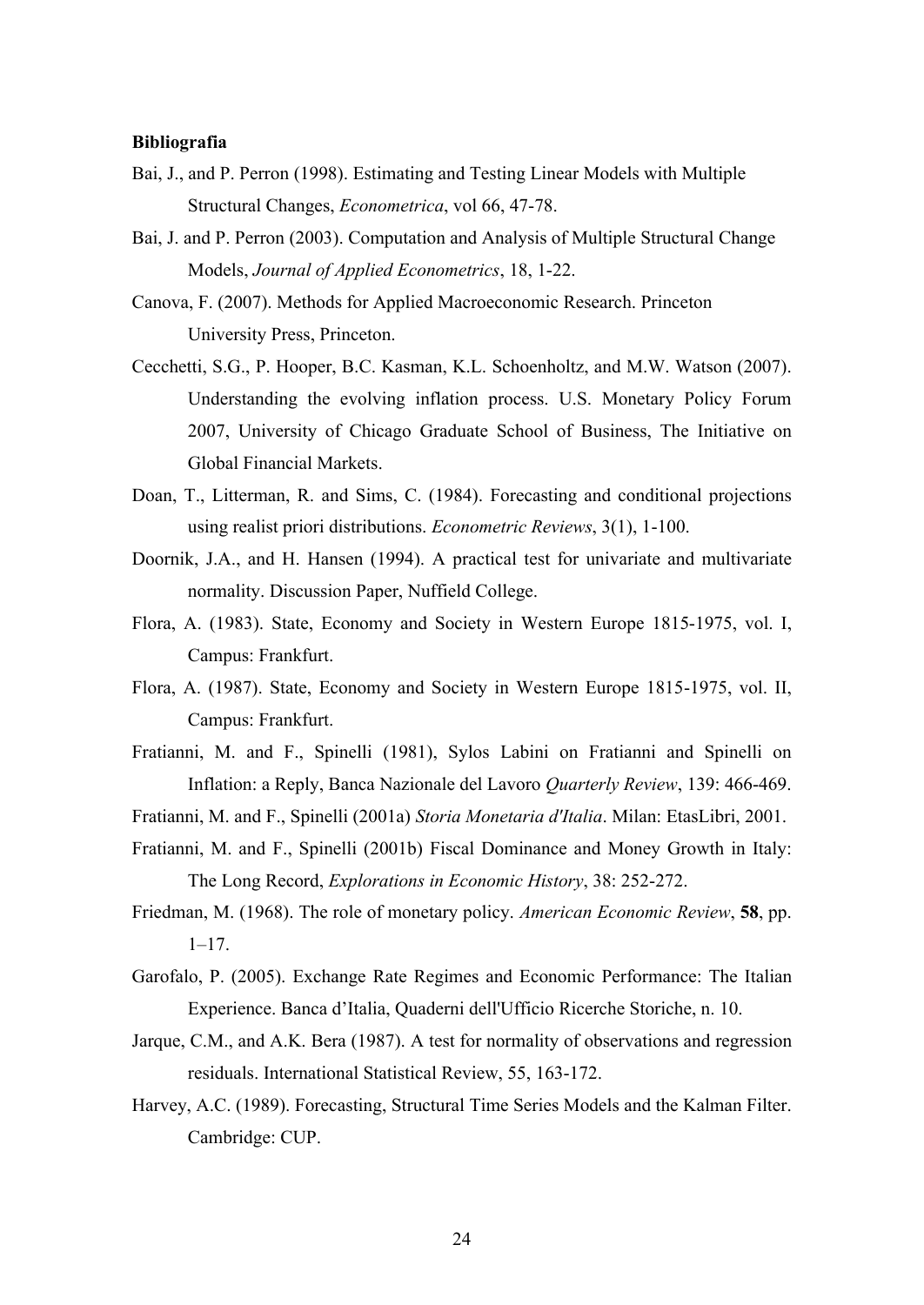#### **Bibliografia**

- Bai, J., and P. Perron (1998). Estimating and Testing Linear Models with Multiple Structural Changes, *Econometrica*, vol 66, 47-78.
- Bai, J. and P. Perron (2003). Computation and Analysis of Multiple Structural Change Models, *Journal of Applied Econometrics*, 18, 1-22.
- Canova, F. (2007). Methods for Applied Macroeconomic Research. Princeton University Press, Princeton.
- Cecchetti, S.G., P. Hooper, B.C. Kasman, K.L. Schoenholtz, and M.W. Watson (2007). Understanding the evolving inflation process. U.S. Monetary Policy Forum 2007, University of Chicago Graduate School of Business, The Initiative on Global Financial Markets.
- Doan, T., Litterman, R. and Sims, C. (1984). Forecasting and conditional projections using realist priori distributions. *Econometric Reviews*, 3(1), 1-100.
- Doornik, J.A., and H. Hansen (1994). A practical test for univariate and multivariate normality. Discussion Paper, Nuffield College.
- Flora, A. (1983). State, Economy and Society in Western Europe 1815-1975, vol. I, Campus: Frankfurt.
- Flora, A. (1987). State, Economy and Society in Western Europe 1815-1975, vol. II, Campus: Frankfurt.
- Fratianni, M. and F., Spinelli (1981), Sylos Labini on Fratianni and Spinelli on Inflation: a Reply, Banca Nazionale del Lavoro *Quarterly Review*, 139: 466-469.
- Fratianni, M. and F., Spinelli (2001a) *Storia Monetaria d'Italia*. Milan: EtasLibri, 2001.
- Fratianni, M. and F., Spinelli (2001b) Fiscal Dominance and Money Growth in Italy: The Long Record, *Explorations in Economic History*, 38: 252-272.
- Friedman, M. (1968). The role of monetary policy. *American Economic Review*, **58**, pp.  $1 - 17$ .
- Garofalo, P. (2005). Exchange Rate Regimes and Economic Performance: The Italian Experience. Banca d'Italia, Quaderni dell'Ufficio Ricerche Storiche, n. 10.
- Jarque, C.M., and A.K. Bera (1987). A test for normality of observations and regression residuals. International Statistical Review, 55, 163-172.
- Harvey, A.C. (1989). Forecasting, Structural Time Series Models and the Kalman Filter. Cambridge: CUP.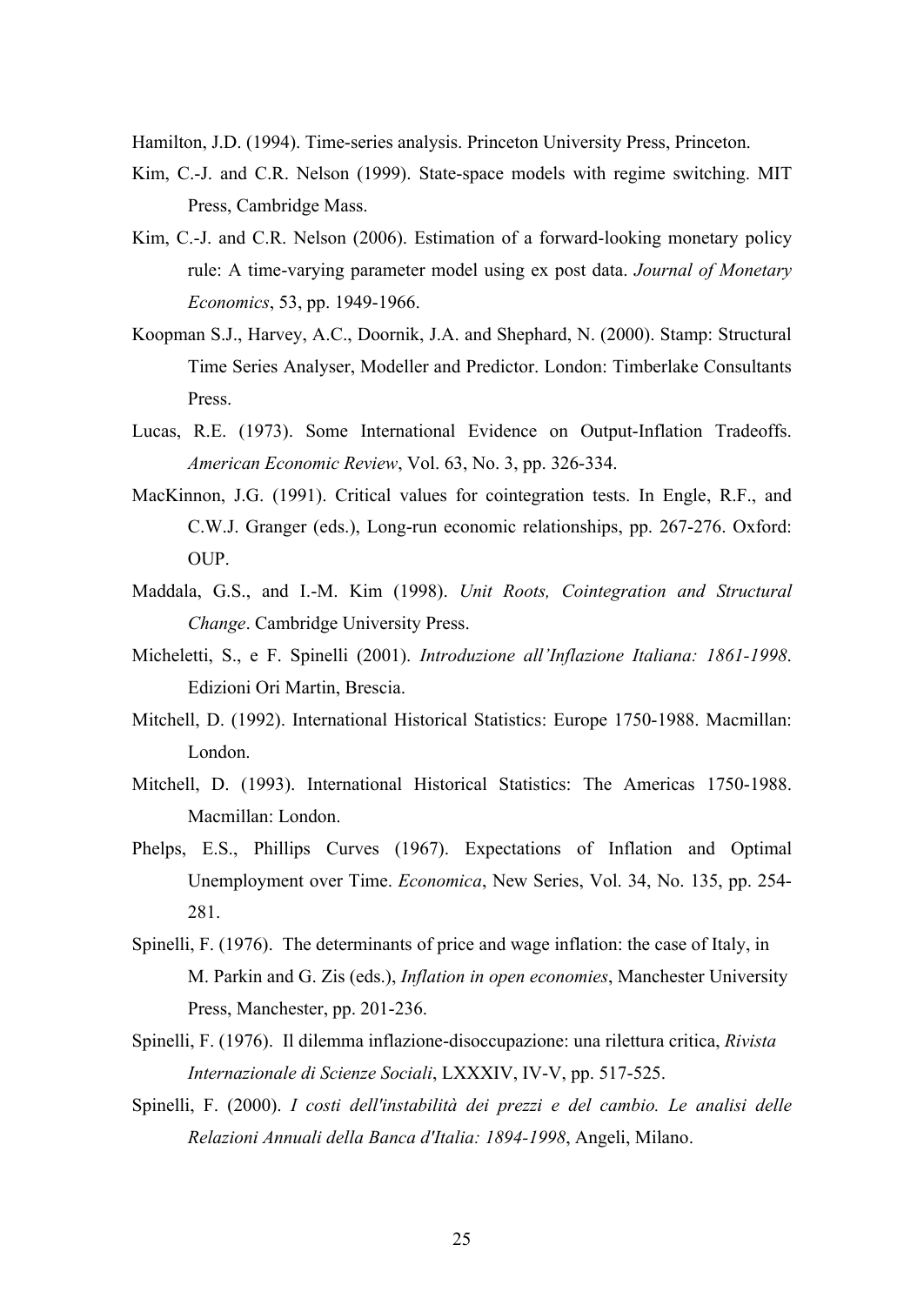Hamilton, J.D. (1994). Time-series analysis. Princeton University Press, Princeton.

- Kim, C.-J. and C.R. Nelson (1999). State-space models with regime switching. MIT Press, Cambridge Mass.
- Kim, C.-J. and C.R. Nelson (2006). Estimation of a forward-looking monetary policy rule: A time-varying parameter model using ex post data. *Journal of Monetary Economics*, 53, pp. 1949-1966.
- Koopman S.J., Harvey, A.C., Doornik, J.A. and Shephard, N. (2000). Stamp: Structural Time Series Analyser, Modeller and Predictor. London: Timberlake Consultants Press.
- Lucas, R.E. (1973). Some International Evidence on Output-Inflation Tradeoffs. *American Economic Review*, Vol. 63, No. 3, pp. 326-334.
- MacKinnon, J.G. (1991). Critical values for cointegration tests. In Engle, R.F., and C.W.J. Granger (eds.), Long-run economic relationships, pp. 267-276. Oxford: OUP.
- Maddala, G.S., and I.-M. Kim (1998). *Unit Roots, Cointegration and Structural Change*. Cambridge University Press.
- Micheletti, S., e F. Spinelli (2001). *Introduzione all'Inflazione Italiana: 1861-1998*. Edizioni Ori Martin, Brescia.
- Mitchell, D. (1992). International Historical Statistics: Europe 1750-1988. Macmillan: London.
- Mitchell, D. (1993). International Historical Statistics: The Americas 1750-1988. Macmillan: London.
- Phelps, E.S., Phillips Curves (1967). Expectations of Inflation and Optimal Unemployment over Time. *Economica*, New Series, Vol. 34, No. 135, pp. 254- 281.
- Spinelli, F. (1976). The determinants of price and wage inflation: the case of Italy, in M. Parkin and G. Zis (eds.), *Inflation in open economies*, Manchester University Press, Manchester, pp. 201-236.
- Spinelli, F. (1976). Il dilemma inflazione-disoccupazione: una rilettura critica, *Rivista Internazionale di Scienze Sociali*, LXXXIV, IV-V, pp. 517-525.
- Spinelli, F. (2000). *I costi dell'instabilità dei prezzi e del cambio. Le analisi delle Relazioni Annuali della Banca d'Italia: 1894-1998*, Angeli, Milano.